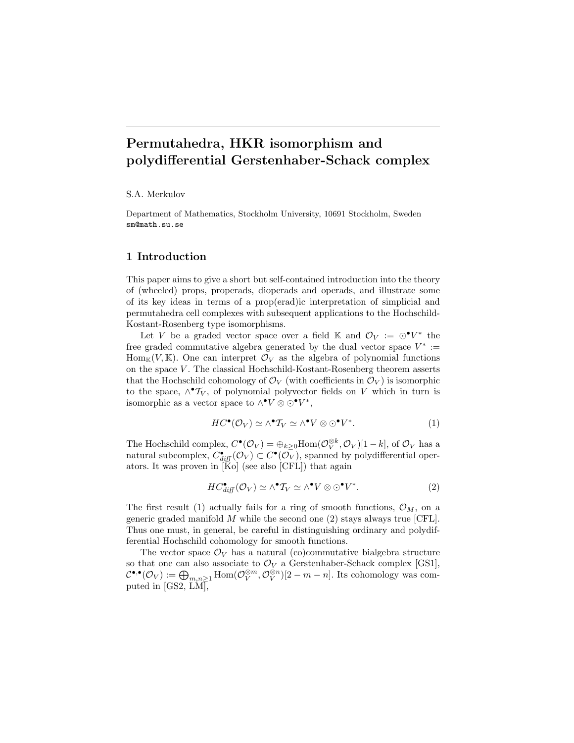# Permutahedra, HKR isomorphism and polydifferential Gerstenhaber-Schack complex

S.A. Merkulov

Department of Mathematics, Stockholm University, 10691 Stockholm, Sweden sm@math.su.se

# 1 Introduction

This paper aims to give a short but self-contained introduction into the theory of (wheeled) props, properads, dioperads and operads, and illustrate some of its key ideas in terms of a prop(erad)ic interpretation of simplicial and permutahedra cell complexes with subsequent applications to the Hochschild-Kostant-Rosenberg type isomorphisms.

Let V be a graded vector space over a field K and  $\mathcal{O}_V := \odot \bullet V^*$  the free graded commutative algebra generated by the dual vector space  $V^* :=$  $\text{Hom}_{\mathbb{K}}(V,\mathbb{K})$ . One can interpret  $\mathcal{O}_V$  as the algebra of polynomial functions on the space V . The classical Hochschild-Kostant-Rosenberg theorem asserts that the Hochschild cohomology of  $\mathcal{O}_V$  (with coefficients in  $\mathcal{O}_V$ ) is isomorphic to the space,  $\wedge^{\bullet} T_V$ , of polynomial polyvector fields on V which in turn is isomorphic as a vector space to  $\wedge^{\bullet}V \otimes \odot^{\bullet}V^*$ ,

$$
HC^{\bullet}(\mathcal{O}_V) \simeq \wedge^{\bullet} \mathcal{T}_V \simeq \wedge^{\bullet} V \otimes \odot^{\bullet} V^*.
$$
 (1)

The Hochschild complex,  $C^{\bullet}(\mathcal{O}_V) = \bigoplus_{k \geq 0} \text{Hom}(\mathcal{O}_V^{\otimes k}, \mathcal{O}_V)[1-k]$ , of  $\mathcal{O}_V$  has a natural subcomplex,  $C_{diff}^{\bullet}(\mathcal{O}_V) \subset C^{\bullet}(\mathcal{O}_V)$ , spanned by polydifferential operators. It was proven in  $\tilde{K}$ o (see also [CFL]) that again

$$
HC_{diff}^{\bullet}(\mathcal{O}_V) \simeq \wedge^{\bullet} T_V \simeq \wedge^{\bullet} V \otimes \odot^{\bullet} V^*.
$$
 (2)

The first result (1) actually fails for a ring of smooth functions,  $\mathcal{O}_M$ , on a generic graded manifold  $M$  while the second one (2) stays always true [CFL]. Thus one must, in general, be careful in distinguishing ordinary and polydifferential Hochschild cohomology for smooth functions.

The vector space  $\mathcal{O}_V$  has a natural (co)commutative bialgebra structure so that one can also associate to  $\mathcal{O}_V$  a Gerstenhaber-Schack complex [GS1],  $\mathcal{C}^{\bullet,\bullet}(\mathcal{O}_V) := \bigoplus_{m,n \geq 1} \text{Hom}(\mathcal{O}_V^{\otimes m}, \mathcal{O}_V^{\otimes n})[2-m-n]$ . Its cohomology was computed in [GS2, LM],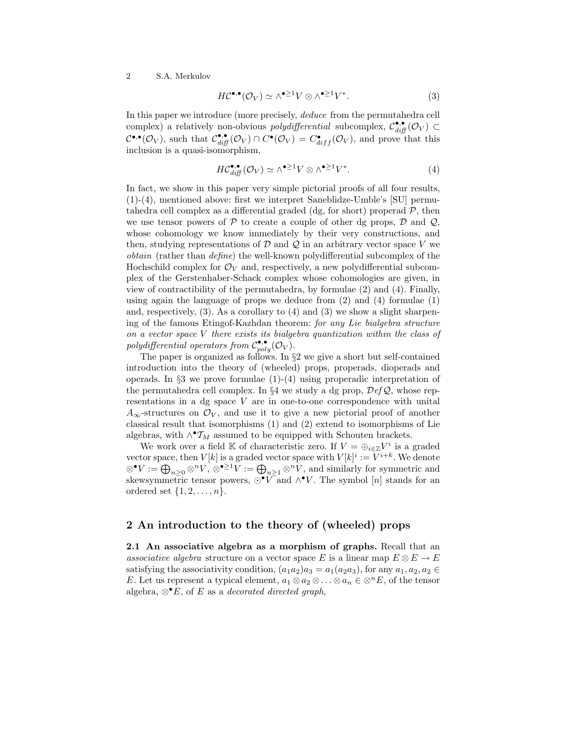$$
H\mathcal{C}^{\bullet,\bullet}(\mathcal{O}_V) \simeq \wedge^{\bullet \geq 1} V \otimes \wedge^{\bullet \geq 1} V^*.
$$
 (3)

In this paper we introduce (more precisely, deduce from the permutahedra cell complex) a relatively non-obvious *polydifferential* subcomplex,  $\mathcal{C}_{diff}^{\bullet,\bullet}(\mathcal{O}_V) \subset$  $C^{\bullet,\bullet}(\mathcal{O}_V)$ , such that  $\mathcal{C}^{\bullet,\bullet}_{diff}(\mathcal{O}_V) \cap C^{\bullet}(\mathcal{O}_V) = C^{\bullet}_{diff}(\mathcal{O}_V)$ , and prove that this inclusion is a quasi-isomorphism,

$$
HC_{diff}^{\bullet,\bullet}(\mathcal{O}_V) \simeq \wedge^{\bullet \geq 1} V \otimes \wedge^{\bullet \geq 1} V^*.
$$
 (4)

In fact, we show in this paper very simple pictorial proofs of all four results, (1)-(4), mentioned above: first we interpret Saneblidze-Umble's [SU] permutahedra cell complex as a differential graded (dg, for short) properad  $P$ , then we use tensor powers of  $P$  to create a couple of other dg props,  $D$  and  $Q$ , whose cohomology we know immediately by their very constructions, and then, studying representations of  $\mathcal D$  and  $\mathcal Q$  in an arbitrary vector space V we obtain (rather than define) the well-known polydifferential subcomplex of the Hochschild complex for  $\mathcal{O}_V$  and, respectively, a new polydifferential subcomplex of the Gerstenhaber-Schack complex whose cohomologies are given, in view of contractibility of the permutahedra, by formulae (2) and (4). Finally, using again the language of props we deduce from (2) and (4) formulae (1) and, respectively,  $(3)$ . As a corollary to  $(4)$  and  $(3)$  we show a slight sharpening of the famous Etingof-Kazhdan theorem: for any Lie bialgebra structure on a vector space V there exists its bialgebra quantization within the class of polydifferential operators from  $\mathcal{C}_{poly}^{\bullet,\bullet}(\mathcal{O}_V)$ .

The paper is organized as follows. In §2 we give a short but self-contained introduction into the theory of (wheeled) props, properads, dioperads and operads. In  $\S 3$  we prove formulae  $(1)-(4)$  using properadic interpretation of the permutahedra cell complex. In §4 we study a dg prop,  $\mathcal{D}efQ$ , whose representations in a dg space V are in one-to-one correspondence with unital  $A_{\infty}$ -structures on  $\mathcal{O}_V$ , and use it to give a new pictorial proof of another classical result that isomorphisms (1) and (2) extend to isomorphisms of Lie algebras, with  $\wedge^{\bullet} \mathcal{T}_M$  assumed to be equipped with Schouten brackets.

We work over a field K of characteristic zero. If  $V = \bigoplus_{i \in \mathbb{Z}} V^i$  is a graded vector space, then  $V[k]$  is a graded vector space with  $V[k]^i := V^{i+k}$ . We denote  $\otimes^{\bullet}V:=\bigoplus_{n\geq 0}\otimes^n V,\, \otimes^{\bullet\geq 1}V:=\bigoplus_{n\geq 1}\otimes^n V,$  and similarly for symmetric and skewsymmetric tensor powers,  $\odot$   $\check{V}$  and  $\wedge$  V. The symbol [n] stands for an ordered set  $\{1, 2, \ldots, n\}$ .

# 2 An introduction to the theory of (wheeled) props

2.1 An associative algebra as a morphism of graphs. Recall that an associative algebra structure on a vector space E is a linear map  $E \otimes E \to E$ satisfying the associativity condition,  $(a_1a_2)a_3 = a_1(a_2a_3)$ , for any  $a_1, a_2, a_2 \in$ E. Let us represent a typical element,  $a_1 \otimes a_2 \otimes \ldots \otimes a_n \in \otimes^n E$ , of the tensor algebra,  $\otimes^{\bullet} E$ , of E as a *decorated directed graph*,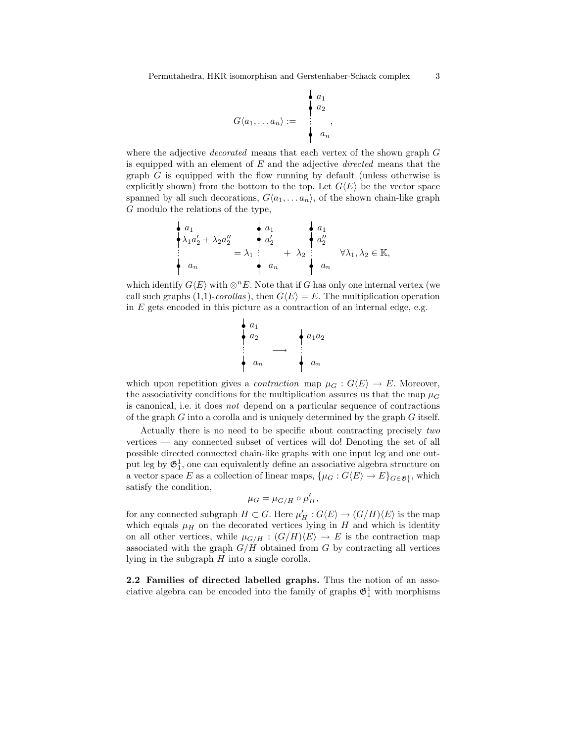$$
G\langle a_1,\ldots a_n\rangle := \begin{array}{c} \begin{array}{c} a_1 \\ a_2 \\ \vdots \\ a_n \end{array} \end{array}
$$

where the adjective *decorated* means that each vertex of the shown graph G is equipped with an element of  $E$  and the adjective *directed* means that the graph G is equipped with the flow running by default (unless otherwise is explicitly shown) from the bottom to the top. Let  $G\langle E\rangle$  be the vector space spanned by all such decorations,  $G\langle a_1, \ldots, a_n \rangle$ , of the shown chain-like graph G modulo the relations of the type,

$$
\begin{array}{c}\n a_1 \\
 \downarrow \lambda_1 a_2' + \lambda_2 a_2'' \\
 \vdots \\
 a_n\n \end{array}\n = \lambda_1 \begin{array}{c}\n a_1 \\
 a_2' \\
 \downarrow a_2' \\
 \vdots \\
 a_n\n \end{array}\n + \lambda_2 \begin{array}{c}\n a_1 \\
 a_2'' \\
 \downarrow a_2'' \\
 \vdots \\
 a_n\n \end{array}\n \forall \lambda_1, \lambda_2 \in \mathbb{K},
$$

which identify  $G\langle E\rangle$  with ⊗<sup>n</sup>E. Note that if G has only one internal vertex (we call such graphs (1,1)-corollas), then  $G\langle E \rangle = E$ . The multiplication operation in  $E$  gets encoded in this picture as a contraction of an internal edge, e.g.



which upon repetition gives a *contraction* map  $\mu_G : G\langle E \rangle \to E$ . Moreover, the associativity conditions for the multiplication assures us that the map  $\mu_G$ is canonical, i.e. it does not depend on a particular sequence of contractions of the graph  $G$  into a corolla and is uniquely determined by the graph  $G$  itself.

Actually there is no need to be specific about contracting precisely two vertices — any connected subset of vertices will do! Denoting the set of all possible directed connected chain-like graphs with one input leg and one output leg by  $\mathfrak{G}^1_1$ , one can equivalently define an associative algebra structure on a vector space E as a collection of linear maps,  $\{\mu_G : G \langle E \rangle \to E\}_{G \in \mathfrak{G}_1^1}$ , which satisfy the condition,

$$
\mu_G = \mu_{G/H} \circ \mu'_H,
$$

for any connected subgraph  $H \subset G$ . Here  $\mu'_H : G\langle E \rangle \to (G/H)\langle E \rangle$  is the map which equals  $\mu$ <sub>H</sub> on the decorated vertices lying in H and which is identity on all other vertices, while  $\mu_{G/H} : (G/H)\langle E \rangle \to E$  is the contraction map associated with the graph  $G/H$  obtained from G by contracting all vertices lying in the subgraph  $H$  into a single corolla.

2.2 Families of directed labelled graphs. Thus the notion of an associative algebra can be encoded into the family of graphs  $\mathfrak{G}^1_1$  with morphisms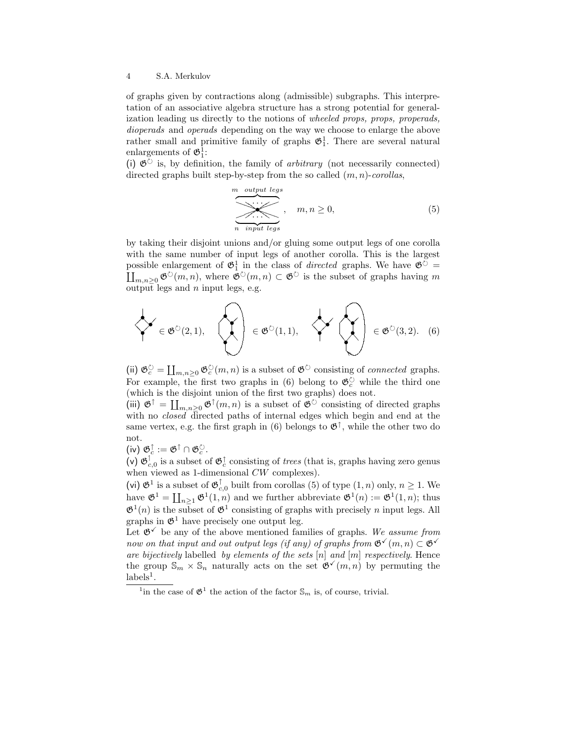of graphs given by contractions along (admissible) subgraphs. This interpretation of an associative algebra structure has a strong potential for generalization leading us directly to the notions of wheeled props, props, properads, dioperads and operads depending on the way we choose to enlarge the above rather small and primitive family of graphs  $\mathfrak{G}_1^1$ . There are several natural enlargements of  $\mathfrak{G}_1^1$ :

(i)  $\mathfrak{G}^{\circlearrowright}$  is, by definition, the family of *arbitrary* (not necessarily connected) directed graphs built step-by-step from the so called  $(m, n)$ -corollas,

$$
\underbrace{\overbrace{\cdots \cdots}_{n \text{ input legs}}}_{n \text{ input legs}}, \quad m, n \ge 0,
$$
\n
$$
(5)
$$

by taking their disjoint unions and/or gluing some output legs of one corolla with the same number of input legs of another corolla. This is the largest possible enlargement of  $\mathfrak{G}_1^1$  in the class of *directed* graphs. We have  $\mathfrak{G}^{\circlearrowright}$  =  $\coprod_{m,n\geq 0} \mathfrak{G}^{\circlearrowright}(m,n)$ , where  $\mathfrak{G}^{\circlearrowright}(m,n) \subset \mathfrak{G}^{\circlearrowright}$  is the subset of graphs having m output legs and  $n$  input legs, e.g.

$$
\left\{\leftarrow \in \mathfrak{G}^{\circlearrowright}(2,1), \quad \left\{\leftarrow \right\} \in \mathfrak{G}^{\circlearrowright}(1,1), \quad \left\{\leftarrow \leftarrow \right\} \in \mathfrak{G}^{\circlearrowright}(3,2). \quad (6)
$$

(ii)  $\mathfrak{G}_c^{\circlearrowright} = \coprod_{m,n\geq 0} \mathfrak{G}_c^{\circlearrowright}(m,n)$  is a subset of  $\mathfrak{G}^{\circlearrowright}$  consisting of *connected* graphs. For example, the first two graphs in (6) belong to  $\mathfrak{G}_c^{\circlearrowright}$  while the third one (which is the disjoint union of the first two graphs) does not.

(iii)  $\mathfrak{G}^{\uparrow} = \coprod_{m,n\geq 0} \mathfrak{G}^{\uparrow}(m,n)$  is a subset of  $\mathfrak{G}^{\circ}$  consisting of directed graphs with no *closed* directed paths of internal edges which begin and end at the same vertex, e.g. the first graph in (6) belongs to  $\mathfrak{G}^{\uparrow}$ , while the other two do not.

(iv)  $\mathfrak{G}_c^{\uparrow} := \mathfrak{G}^{\uparrow} \cap \mathfrak{G}_c^{\circlearrowright}.$ 

 $(v)$   $\mathfrak{G}_c^{\dagger}$  $\int_{c,0}^{1}$  is a subset of  $\mathfrak{G}_{c}^{\uparrow}$  consisting of *trees* (that is, graphs having zero genus when viewed as 1-dimensional  $CW$  complexes).

(vi)  $\mathfrak{G}^1$  is a subset of  $\mathfrak{G}^{\uparrow}_{c,0}$  built from corollas (5) of type  $(1, n)$  only,  $n \geq 1$ . We have  $\mathfrak{G}^1 = \coprod_{n \geq 1} \mathfrak{G}^1(1,n)$  and we further abbreviate  $\mathfrak{G}^1(n) := \mathfrak{G}^1(1,n)$ ; thus  $\mathfrak{G}^1(n)$  is the subset of  $\mathfrak{G}^1$  consisting of graphs with precisely *n* input legs. All graphs in  $\mathfrak{G}^1$  have precisely one output leg.

Let  $\mathfrak{G}^{\checkmark}$  be any of the above mentioned families of graphs. We assume from now on that input and out output legs (if any) of graphs from  $\mathfrak{G}(\mathfrak{m}, n) \subset \mathfrak{G}(\mathfrak{m})$ are bijectively labelled by elements of the sets  $[n]$  and  $[m]$  respectively. Hence the group  $\mathbb{S}_m \times \mathbb{S}_n$  naturally acts on the set  $\mathfrak{G}(\mathfrak{m}, n)$  by permuting the  $\text{labels}^1$ .

<sup>&</sup>lt;sup>1</sup> in the case of  $\mathfrak{G}^1$  the action of the factor  $\mathbb{S}_m$  is, of course, trivial.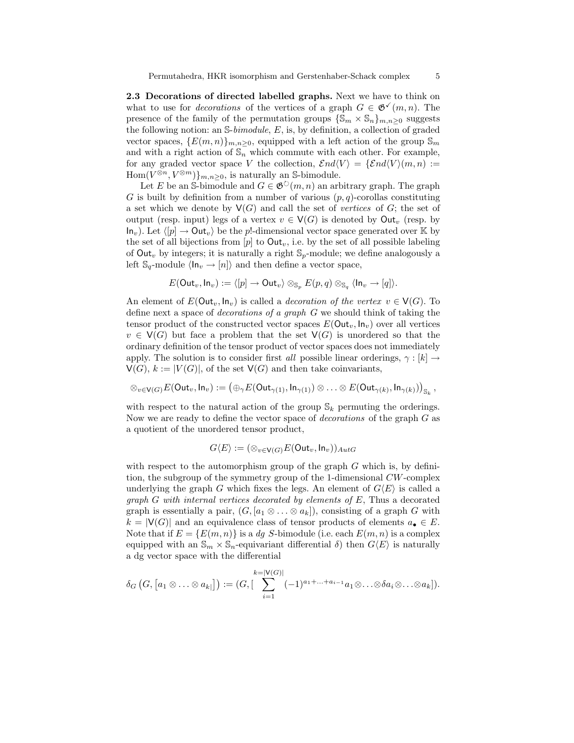2.3 Decorations of directed labelled graphs. Next we have to think on what to use for *decorations* of the vertices of a graph  $G \in \mathfrak{G}^{\checkmark}(m, n)$ . The presence of the family of the permutation groups  $\{\mathbb{S}_m \times \mathbb{S}_n\}_{m,n\geq 0}$  suggests the following notion: an  $\mathbb{S}\text{-}\text{bimodule}, E$ , is, by definition, a collection of graded vector spaces,  $\{E(m, n)\}_{m,n>0}$ , equipped with a left action of the group  $\mathbb{S}_m$ and with a right action of  $\mathbb{S}_n$  which commute with each other. For example, for any graded vector space V the collection,  $\mathcal{E}nd\langle V\rangle = {\mathcal{E}nd\langle V\rangle(m, n)} :=$  $Hom(V^{\otimes n}, V^{\otimes m})\}_{m,n\geq 0}$ , is naturally an S-bimodule.

Let E be an S-bimodule and  $G \in \mathfrak{G}^{\circlearrowright}(m, n)$  an arbitrary graph. The graph G is built by definition from a number of various  $(p, q)$ -corollas constituting a set which we denote by  $\mathsf{V}(G)$  and call the set of vertices of G; the set of output (resp. input) legs of a vertex  $v \in V(G)$  is denoted by Out<sub>n</sub> (resp. by  $\textsf{In}_v$ ). Let  $\langle p \rangle \to \textsf{Out}_v$  be the p!-dimensional vector space generated over K by the set of all bijections from  $[p]$  to  $Out_v$ , i.e. by the set of all possible labeling of Out<sub>v</sub> by integers; it is naturally a right  $\mathbb{S}_p$ -module; we define analogously a left  $\mathbb{S}_q$ -module  $\langle \mathsf{In}_v \to [n] \rangle$  and then define a vector space,

$$
E(\mathsf{Out}_v,\mathsf{In}_v) := \langle [p] \to \mathsf{Out}_v \rangle \otimes_{\mathbb{S}_p} E(p,q) \otimes_{\mathbb{S}_q} \langle \mathsf{In}_v \to [q] \rangle.
$$

An element of  $E(\text{Out}_v, \text{In}_v)$  is called a *decoration of the vertex*  $v \in V(G)$ . To define next a space of decorations of a graph G we should think of taking the tensor product of the constructed vector spaces  $E(\text{Out}_v, \text{In}_v)$  over all vertices  $v \in V(G)$  but face a problem that the set  $V(G)$  is unordered so that the ordinary definition of the tensor product of vector spaces does not immediately apply. The solution is to consider first all possible linear orderings,  $\gamma : [k] \rightarrow$  $V(G), k := |V(G)|$ , of the set  $V(G)$  and then take coinvariants,

$$
\otimes_{v\in \mathsf{V}(G)} E(\mathsf{Out}_v,\mathsf{In}_v) := \left(\oplus_{\gamma} E(\mathsf{Out}_{\gamma(1)},\mathsf{In}_{\gamma(1)})\otimes \ldots \otimes E(\mathsf{Out}_{\gamma(k)},\mathsf{In}_{\gamma(k)})\right)_{\mathbb{S}_k},
$$

with respect to the natural action of the group  $\mathbb{S}_k$  permuting the orderings. Now we are ready to define the vector space of decorations of the graph G as a quotient of the unordered tensor product,

$$
G\langle E\rangle:=(\otimes_{v\in\mathsf{V}(G)}E(\mathsf{Out}_v,\mathsf{In}_v))_{Aut G}
$$

with respect to the automorphism group of the graph  $G$  which is, by definition, the subgroup of the symmetry group of the 1-dimensional CW-complex underlying the graph G which fixes the legs. An element of  $G\langle E \rangle$  is called a graph  $G$  with internal vertices decorated by elements of  $E$ , Thus a decorated graph is essentially a pair,  $(G, [a_1 \otimes \ldots \otimes a_k])$ , consisting of a graph G with  $k = |V(G)|$  and an equivalence class of tensor products of elements  $a_{\bullet} \in E$ . Note that if  $E = \{E(m, n)\}\$ is a dg S-bimodule (i.e. each  $E(m, n)$  is a complex equipped with an  $\mathbb{S}_m \times \mathbb{S}_n$ -equivariant differential  $\delta$ ) then  $G\langle E \rangle$  is naturally a dg vector space with the differential

$$
\delta_G\left(G, \big[a_1 \otimes \ldots \otimes a_{k}\big]\right) := \left(G, \big[\sum_{i=1}^{k=|\mathsf{V}(G)|} (-1)^{a_1+\ldots+a_{i-1}} a_1 \otimes \ldots \otimes a_i \otimes \ldots \otimes a_k\big]\right).
$$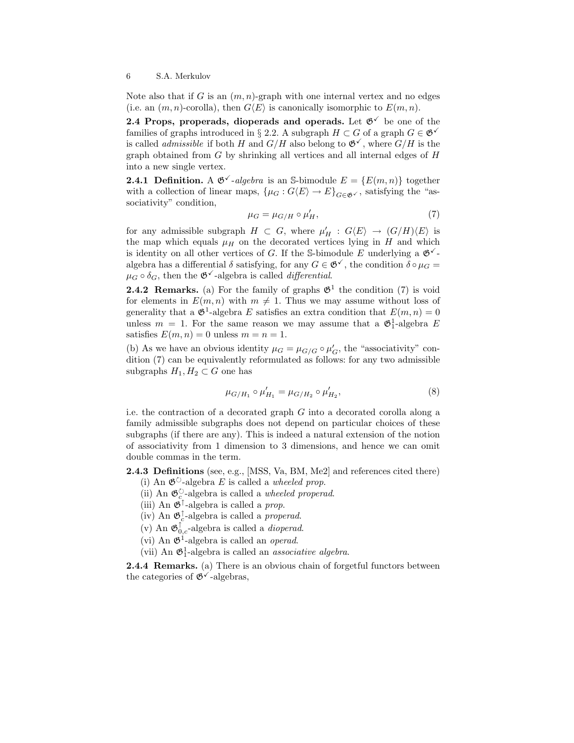Note also that if G is an  $(m, n)$ -graph with one internal vertex and no edges (i.e. an  $(m, n)$ -corolla), then  $G\langle E \rangle$  is canonically isomorphic to  $E(m, n)$ .

2.4 Props, properads, dioperads and operads. Let  $\mathfrak{G}^{\checkmark}$  be one of the families of graphs introduced in § 2.2. A subgraph  $H \subset G$  of a graph  $G \in \mathfrak{G}^{\checkmark}$ is called *admissible* if both H and  $G/H$  also belong to  $\mathfrak{G}^{\checkmark}$ , where  $G/H$  is the graph obtained from  $G$  by shrinking all vertices and all internal edges of  $H$ into a new single vertex.

**2.4.1 Definition.** A  $\mathfrak{G}^{\checkmark}$ -algebra is an S-bimodule  $E = \{E(m, n)\}\)$  together with a collection of linear maps,  $\{\mu_G : G\langle E\rangle \to E\}_{G \in \mathfrak{G} \checkmark}$ , satisfying the "associativity" condition,

$$
\mu_G = \mu_{G/H} \circ \mu'_H,\tag{7}
$$

for any admissible subgraph  $H \subset G$ , where  $\mu'_H : G \langle E \rangle \to (G/H) \langle E \rangle$  is the map which equals  $\mu$ <sub>H</sub> on the decorated vertices lying in H and which is identity on all other vertices of G. If the S-bimodule E underlying a  $\mathfrak{G}^{\checkmark}$ algebra has a differential  $\delta$  satisfying, for any  $G \in \mathfrak{G}^{\checkmark}$ , the condition  $\delta \circ \mu_G =$  $\mu_G \circ \delta_G$ , then the  $\mathfrak{G}^{\checkmark}$ -algebra is called *differential*.

**2.4.2 Remarks.** (a) For the family of graphs  $\mathfrak{G}^1$  the condition (7) is void for elements in  $E(m, n)$  with  $m \neq 1$ . Thus we may assume without loss of generality that a  $\mathfrak{G}^1$ -algebra E satisfies an extra condition that  $E(m, n) = 0$ unless  $m = 1$ . For the same reason we may assume that a  $\mathfrak{G}_1^1$ -algebra E satisfies  $E(m, n) = 0$  unless  $m = n = 1$ .

(b) As we have an obvious identity  $\mu_G = \mu_{G/G} \circ \mu'_G$ , the "associativity" condition (7) can be equivalently reformulated as follows: for any two admissible subgraphs  $H_1, H_2 \subset G$  one has

$$
\mu_{G/H_1} \circ \mu'_{H_1} = \mu_{G/H_2} \circ \mu'_{H_2},\tag{8}
$$

i.e. the contraction of a decorated graph  $G$  into a decorated corolla along a family admissible subgraphs does not depend on particular choices of these subgraphs (if there are any). This is indeed a natural extension of the notion of associativity from 1 dimension to 3 dimensions, and hence we can omit double commas in the term.

2.4.3 Definitions (see, e.g., [MSS, Va, BM, Me2] and references cited there)

- (i) An  $\mathfrak{G}^{\circlearrowright}$ -algebra E is called a wheeled prop.
- (ii) An  $\mathfrak{G}^{\circlearrowright}_c$ -algebra is called a *wheeled properad*.
- (iii) An  $\mathfrak{G}^{\uparrow}$ -algebra is called a *prop*.
- (iv) An  $\mathfrak{G}_c^{\uparrow}$ -algebra is called a *properad*.
- (v) An  $\mathfrak{G}_{0,c}^{\uparrow}$ -algebra is called a *dioperad*.
- (vi) An  $\mathfrak{G}^1$ -algebra is called an *operad*.
- (vii) An  $\mathfrak{G}_1^1$ -algebra is called an *associative algebra*.

**2.4.4 Remarks.** (a) There is an obvious chain of forgetful functors between the categories of  $\mathfrak{G}^{\checkmark}$ -algebras,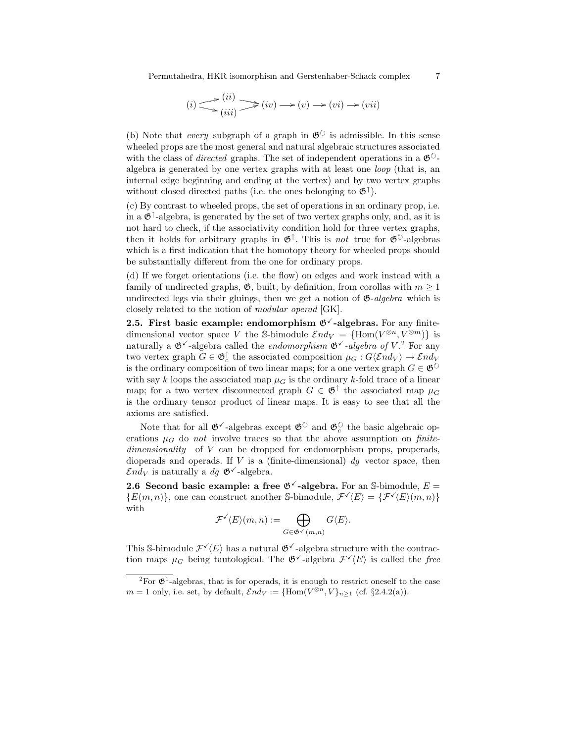Permutahedra, HKR isomorphism and Gerstenhaber-Schack complex 7

$$
(i) \sum_{(iii)}^{(ii)} \sum_{(iv)}^{(iv)} \longrightarrow (v) \longrightarrow (vi) \longrightarrow (vii)
$$

(b) Note that *every* subgraph of a graph in  $\mathfrak{G}^{\circlearrowright}$  is admissible. In this sense wheeled props are the most general and natural algebraic structures associated with the class of *directed* graphs. The set of independent operations in a  $\mathfrak{G}^{\circ}$ algebra is generated by one vertex graphs with at least one loop (that is, an internal edge beginning and ending at the vertex) and by two vertex graphs without closed directed paths (i.e. the ones belonging to  $\mathfrak{G}^{\uparrow}$ ).

(c) By contrast to wheeled props, the set of operations in an ordinary prop, i.e. in a  $\mathfrak{G}^{\uparrow}$ -algebra, is generated by the set of two vertex graphs only, and, as it is not hard to check, if the associativity condition hold for three vertex graphs, then it holds for arbitrary graphs in  $\mathfrak{G}^{\uparrow}$ . This is not true for  $\mathfrak{G}^{\circlearrowright}$ -algebras which is a first indication that the homotopy theory for wheeled props should be substantially different from the one for ordinary props.

(d) If we forget orientations (i.e. the flow) on edges and work instead with a family of undirected graphs,  $\mathfrak{G}$ , built, by definition, from corollas with  $m \geq 1$ undirected legs via their gluings, then we get a notion of  $\mathfrak{G}-algebra$  which is closely related to the notion of modular operad [GK].

2.5. First basic example: endomorphism  $\mathfrak{G}^{\vee}$ -algebras. For any finitedimensional vector space V the S-bimodule  $\mathcal{E}nd_V = \{\text{Hom}(V^{\otimes n}, V^{\otimes m})\}$  is naturally a  $\mathfrak{G}^{\checkmark}$ -algebra called the *endomorphism*  $\mathfrak{G}^{\checkmark}$ -algebra of  $V$ .<sup>2</sup> For any two vertex graph  $G \in \mathfrak{G}^{\uparrow}_c$  the associated composition  $\mu_G : G\langle \mathcal{E} nd_V \rangle \to \mathcal{E} nd_V$ is the ordinary composition of two linear maps; for a one vertex graph  $G \in \mathfrak{G}^{\circlearrowright}$ with say k loops the associated map  $\mu$  is the ordinary k-fold trace of a linear map; for a two vertex disconnected graph  $G \in \mathfrak{G}^{\uparrow}$  the associated map  $\mu_G$ is the ordinary tensor product of linear maps. It is easy to see that all the axioms are satisfied.

Note that for all  $\mathfrak{G}^{\vee}$ -algebras except  $\mathfrak{G}^{\circ}$  and  $\mathfrak{G}^{\circ}_{c}$  the basic algebraic operations  $\mu_G$  do not involve traces so that the above assumption on finitedimensionality of V can be dropped for endomorphism props, properads, dioperads and operads. If  $V$  is a (finite-dimensional)  $dq$  vector space, then  $\mathcal{E}nd_V$  is naturally a  $dq \mathfrak{G}^{\checkmark}$ -algebra.

**2.6 Second basic example: a free**  $\mathfrak{G}^{\vee}$ **-algebra.** For an S-bimodule,  $E =$  ${E(m,n)}$ , one can construct another S-bimodule,  $\mathcal{F}'(E) = {\mathcal{F}'(E)(m,n)}$ with

$$
\mathcal{F}^{\checkmark}(E)(m,n) := \bigoplus_{G \in \mathfrak{G}^{\checkmark}(m,n)} G\langle E \rangle.
$$

This S-bimodule  $\mathcal{F}^{\checkmark}(E)$  has a natural  $\mathfrak{G}^{\checkmark}$ -algebra structure with the contraction maps  $\mu_G$  being tautological. The  $\mathfrak{G}^{\checkmark}$ -algebra  $\mathcal{F}^{\checkmark}(E)$  is called the free

<sup>&</sup>lt;sup>2</sup>For  $\mathfrak{G}^1$ -algebras, that is for operads, it is enough to restrict oneself to the case  $m = 1$  only, i.e. set, by default,  $\mathcal{E}nd_V := {\text{Hom}(V^{\otimes n}, V)_{n \geq 1} (\text{cf. §2.4.2(a)})}.$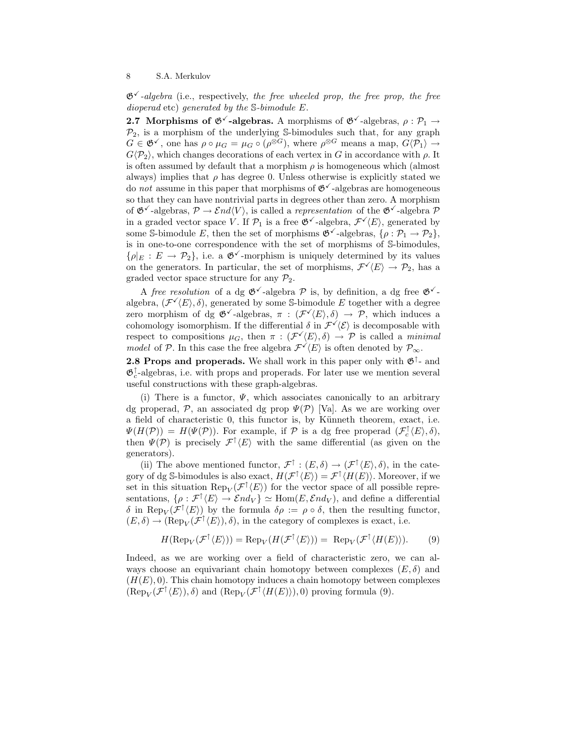$\mathfrak{G}^{\checkmark}$ -algebra (i.e., respectively, the free wheeled prop, the free prop, the free dioperad etc) generated by the S-bimodule E.

**2.7 Morphisms of**  $\mathfrak{G}^{\vee}$ **-algebras.** A morphisms of  $\mathfrak{G}^{\vee}$ -algebras,  $\rho : \mathcal{P}_1 \rightarrow$  $\mathcal{P}_2$ , is a morphism of the underlying S-bimodules such that, for any graph  $G \in \mathfrak{G}^{\checkmark}$ , one has  $\rho \circ \mu_G = \mu_G \circ (\rho^{\otimes G})$ , where  $\rho^{\otimes G}$  means a map,  $G \langle \mathcal{P}_1 \rangle \rightarrow$  $G\langle P_2 \rangle$ , which changes decorations of each vertex in G in accordance with  $\rho$ . It is often assumed by default that a morphism  $\rho$  is homogeneous which (almost always) implies that  $\rho$  has degree 0. Unless otherwise is explicitly stated we do not assume in this paper that morphisms of  $\mathfrak{G}^{\checkmark}$ -algebras are homogeneous so that they can have nontrivial parts in degrees other than zero. A morphism of  $\mathfrak{G}^{\checkmark}$ -algebras,  $\mathcal{P} \to \mathcal{E}nd\langle V\rangle$ , is called a *representation* of the  $\mathfrak{G}^{\checkmark}$ -algebra  $\mathcal{P}$ in a graded vector space V. If  $\mathcal{P}_1$  is a free  $\mathfrak{G}^{\checkmark}$ -algebra,  $\mathcal{F}^{\checkmark}(E)$ , generated by some S-bimodule E, then the set of morphisms  $\mathfrak{G}^{\checkmark}$ -algebras,  $\{\rho : \mathcal{P}_1 \to \mathcal{P}_2\},\$ is in one-to-one correspondence with the set of morphisms of S-bimodules,  $\{\rho|_E : E \to \mathcal{P}_2\}$ , i.e. a  $\mathfrak{G}^{\checkmark}$ -morphism is uniquely determined by its values on the generators. In particular, the set of morphisms,  $\mathcal{F}'(E) \to \mathcal{P}_2$ , has a graded vector space structure for any  $\mathcal{P}_2$ .

A free resolution of a dg  $\mathfrak{G}^{\checkmark}$ -algebra  $\mathcal P$  is, by definition, a dg free  $\mathfrak{G}^{\checkmark}$ algebra,  $(\mathcal{F}^{\checkmark}(E), \delta)$ , generated by some S-bimodule E together with a degree zero morphism of dg  $\mathfrak{G}^{\checkmark}$ -algebras,  $\pi : (\mathcal{F}^{\checkmark}(E), \delta) \to \mathcal{P}$ , which induces a cohomology isomorphism. If the differential  $\delta$  in  $\mathcal{F}^{\checkmark}(\mathcal{E})$  is decomposable with respect to compositions  $\mu_G$ , then  $\pi : (\mathcal{F}'(E), \delta) \to \mathcal{P}$  is called a minimal model of P. In this case the free algebra  $\mathcal{F}(\overline{E})$  is often denoted by  $\mathcal{P}_{\infty}$ .

**2.8 Props and properads.** We shall work in this paper only with  $\mathfrak{G}^{\uparrow}$ - and  $\mathfrak{G}_c^{\uparrow}$ -algebras, i.e. with props and properads. For later use we mention several useful constructions with these graph-algebras.

(i) There is a functor,  $\Psi$ , which associates canonically to an arbitrary dg properad,  $\mathcal{P}$ , an associated dg prop  $\Psi(\mathcal{P})$  [Va]. As we are working over a field of characteristic 0, this functor is, by Künneth theorem, exact, i.e.  $\Psi(H(\mathcal{P})) = H(\Psi(\mathcal{P}))$ . For example, if  $\mathcal{P}$  is a dg free properad  $(\mathcal{F}_c^{\uparrow}(E), \delta)$ , then  $\Psi(\mathcal{P})$  is precisely  $\mathcal{F}^{\uparrow}(E)$  with the same differential (as given on the generators).

(ii) The above mentioned functor,  $\mathcal{F}^{\uparrow} : (E, \delta) \to (\mathcal{F}^{\uparrow} \langle E \rangle, \delta)$ , in the category of dg S-bimodules is also exact,  $H(\mathcal{F}^{\uparrow}\langle E\rangle) = \mathcal{F}^{\uparrow}\langle H(E)\rangle$ . Moreover, if we set in this situation  $\operatorname{Rep}_V(\mathcal{F}^{\uparrow}\langle E \rangle)$  for the vector space of all possible representations,  $\{\rho : \mathcal{F}^{\uparrow}(E) \to \mathcal{E}nd_V\} \simeq \text{Hom}(E, \mathcal{E}nd_V)$ , and define a differential δ in Rep<sub>V</sub>( $\mathcal{F}^{\uparrow}\langle E \rangle$ ) by the formula  $\delta \rho := \rho \circ \delta$ , then the resulting functor,  $(E, \delta) \to (\text{Rep}_V(\mathcal{F}^{\uparrow}(E)), \delta)$ , in the category of complexes is exact, i.e.

$$
H(\mathrm{Rep}_V(\mathcal{F}^{\uparrow}\langle E\rangle)) = \mathrm{Rep}_V(H(\mathcal{F}^{\uparrow}\langle E\rangle)) = \mathrm{Rep}_V(\mathcal{F}^{\uparrow}\langle H(E)\rangle). \tag{9}
$$

Indeed, as we are working over a field of characteristic zero, we can always choose an equivariant chain homotopy between complexes  $(E, \delta)$  and  $(H(E), 0)$ . This chain homotopy induces a chain homotopy between complexes  $(\text{Rep}_V(\mathcal{F}^{\uparrow}\langle E\rangle), \delta)$  and  $(\text{Rep}_V(\mathcal{F}^{\uparrow}\langle H(E)\rangle), 0)$  proving formula (9).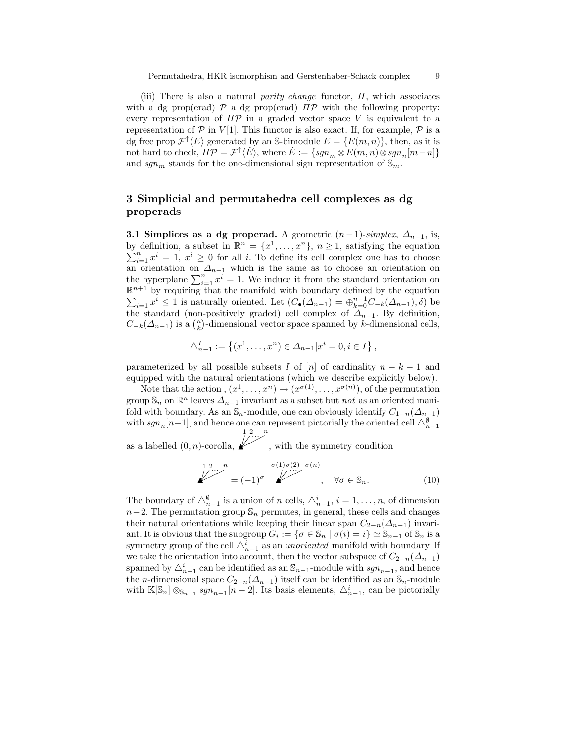(iii) There is also a natural parity change functor,  $\Pi$ , which associates with a dg prop(erad)  $\mathcal P$  a dg prop(erad)  $\Pi \mathcal P$  with the following property: every representation of  $\Pi \mathcal{P}$  in a graded vector space V is equivalent to a representation of  $P$  in  $V[1]$ . This functor is also exact. If, for example,  $P$  is a dg free prop  $\mathcal{F}^{\uparrow}\langle E\rangle$  generated by an S-bimodule  $E = \{E(m,n)\}\,$ , then, as it is not hard to check,  $\overline{H}P = \mathcal{F}^{\uparrow} \langle E \rangle$ , where  $\check{E} := \{sgn_m \otimes E(m,n) \otimes sgn_n[m-n]\}$ and  $sgn_m$  stands for the one-dimensional sign representation of  $\mathbb{S}_m.$ 

# 3 Simplicial and permutahedra cell complexes as dg properads

**3.1 Simplices as a dg properad.** A geometric  $(n-1)$ -simplex,  $\Delta_{n-1}$ , is, by definition, a subset in  $\mathbb{R}^n = \{x^1, \ldots, x^n\}, n \geq 1$ , satisfying the equation  $\sum_{i=1}^{n} x^{i} = 1, x^{i} \geq 0$  for all i. To define its cell complex one has to choose an orientation on  $\Delta_{n-1}$  which is the same as to choose an orientation on the hyperplane  $\sum_{i=1}^{n} x^{i} = 1$ . We induce it from the standard orientation on  $\mathbb{R}^{n+1}$  by requiring that the manifold with boundary defined by the equation  $\sum_{i=1} x^i \leq 1$  is naturally oriented. Let  $(C_{\bullet}(\Delta_{n-1}) = \bigoplus_{k=0}^{n-1} C_{-k}(\Delta_{n-1}), \delta)$  be the standard (non-positively graded) cell complex of  $\Delta_{n-1}$ . By definition,  $C_{-k}(\Delta_{n-1})$  is a  $\binom{n}{k}$ -dimensional vector space spanned by k-dimensional cells,

$$
\triangle_{n-1}^I := \{(x^1, \dots, x^n) \in \triangle_{n-1} | x^i = 0, i \in I\},\
$$

parameterized by all possible subsets I of  $[n]$  of cardinality  $n - k - 1$  and equipped with the natural orientations (which we describe explicitly below).

Note that the action,  $(x^1, \ldots, x^n) \to (x^{\sigma(1)}, \ldots, x^{\sigma(n)})$ , of the permutation group  $\mathbb{S}_n$  on  $\mathbb{R}^n$  leaves  $\Delta_{n-1}$  invariant as a subset but *not* as an oriented manifold with boundary. As an  $\mathbb{S}_n$ -module, one can obviously identify  $C_{1-n}(\Delta_{n-1})$ with  $sgn_n[n-1]$ , and hence one can represent pictorially the oriented cell  $\triangle_{n-1}^{\emptyset}$ 1 2 n

as a labelled  $(0, n)$ -corolla,  $\overline{\mathbb{R}}^{1, 2, \ldots}$ י<br>י ļ  $\overline{\phantom{a}}$ , with the symmetry condition

$$
\overbrace{\qquad \qquad }^{1 \ 2 \ \cdots \ n} = (-1)^{\sigma} \overbrace{\qquad \qquad }^{\sigma(1)\,\sigma(2)\ \ \sigma(n)}, \quad \forall \sigma \in \mathbb{S}_{n}.
$$
 (10)

The boundary of  $\triangle_{n-1}^{\emptyset}$  is a union of n cells,  $\triangle_{n-1}^i$ ,  $i=1,\ldots,n$ , of dimension  $n-2$ . The permutation group  $\mathbb{S}_n$  permutes, in general, these cells and changes their natural orientations while keeping their linear span  $C_{2-n}(\Delta_{n-1})$  invariant. It is obvious that the subgroup  $G_i := \{ \sigma \in \mathbb{S}_n \mid \sigma(i) = i \} \simeq \mathbb{S}_{n-1}$  of  $\mathbb{S}_n$  is a symmetry group of the cell  $\triangle_{n-1}^i$  as an unoriented manifold with boundary. If we take the orientation into account, then the vector subspace of  $C_{2-n}(\Delta_{n-1})$ spanned by  $\triangle_{n-1}^i$  can be identified as an  $\mathbb{S}_{n-1}$ -module with  $sgn_{n-1}$ , and hence the *n*-dimensional space  $C_{2-n}(\Delta_{n-1})$  itself can be identified as an  $\mathbb{S}_n$ -module with  $\mathbb{K}[\mathbb{S}_n] \otimes_{\mathbb{S}_{n-1}} sgn_{n-1}[n-2]$ . Its basis elements,  $\triangle_{n-1}^i$ , can be pictorially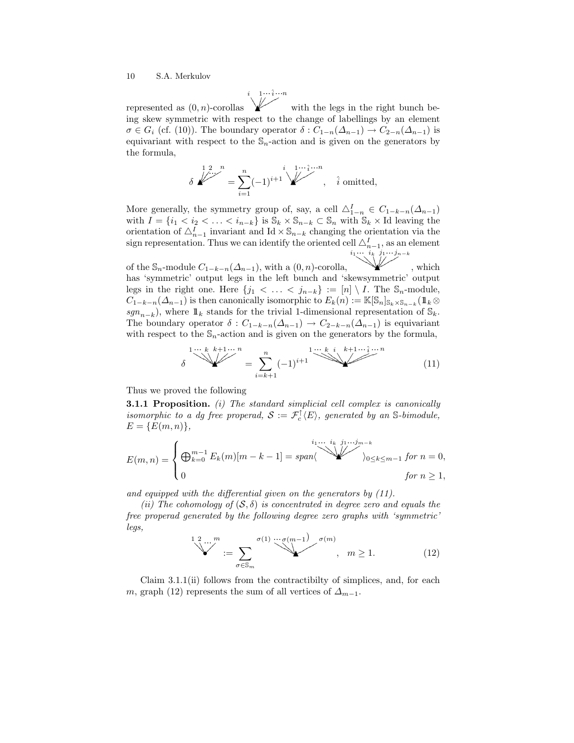represented as  $(0, n)$ -corollas  $\overline{a}$  $\overline{a}$ ן<br>י  $\overline{\phantom{a}}$  $\overline{\phantom{a}}$  $\overline{\phantom{a}}$  $\overline{\phantom{a}}$ K  $\ldots \hat{i} \ldots$  $\bigvee^{i}$   $\bigvee^{1 \cdots \hat{i} \cdots n}$  $\overline{\phantom{a}}$  $\blacktriangleright$ with the legs in the right bunch being skew symmetric with respect to the change of labellings by an element  $\sigma \in G_i$  (cf. (10)). The boundary operator  $\delta : C_{1-n}(\Delta_{n-1}) \to C_{2-n}(\Delta_{n-1})$  is equivariant with respect to the  $\mathbb{S}_n$ -action and is given on the generators by the formula,

$$
\delta \overbrace{\qquad \qquad }^{1 \ 2 \ \cdots \ n} = \sum_{i=1}^n (-1)^{i+1} \overbrace{\qquad \qquad }^{i \ 1 \cdots \hat{i} \cdots n}, \quad \hat{i} \text{ omitted},
$$

More generally, the symmetry group of, say, a cell  $\Delta_{1-n}^I \in C_{1-k-n}(\Delta_{n-1})$ with  $I = \{i_1 < i_2 < \ldots < i_{n-k}\}\$ is  $\mathbb{S}_k \times \mathbb{S}_{n-k} \subset \mathbb{S}_n$  with  $\mathbb{S}_k \times \text{Id}$  leaving the orientation of  $\Delta_{n-1}^I$  invariant and Id × S<sub>n−k</sub> changing the orientation via the sign representation. Thus we can identify the oriented cell  $\triangle_{n-1}^I$ , as an element .<br>أ  $\mathbb{Z}^{n-1}$ ...  $i_1 \cdots i_k \quad j_1 \cdots j_{n-k}$ 

of the  $\mathbb{S}_n$ -module  $C_{1-k-n}(\Delta_{n-1})$ , with a  $(0, n)$ -corolla, ( ( ļ ļ  $\overline{\phantom{a}}$ V K  $\overline{\mathcal{L}}$ , which has 'symmetric' output legs in the left bunch and 'skewsymmetric' output legs in the right one. Here  $\{j_1 < \ldots < j_{n-k}\} := [n] \setminus I$ . The  $\mathbb{S}_n$ -module,  $C_{1-k-n}(\Delta_{n-1})$  is then canonically isomorphic to  $E_k(n) := \mathbb{K}[\mathbb{S}_n]_{\mathbb{S}_k \times \mathbb{S}_{n-k}}$  ( $\mathbb{1}_k \otimes$  $sgn_{n-k}$ ), where  $1\!\!1_k$  stands for the trivial 1-dimensional representation of  $\mathbb{S}_k$ . The boundary operator  $\delta: C_{1-k-n}(\Delta_{n-1}) \to C_{2-k-n}(\Delta_{n-1})$  is equivariant with respect to the  $\mathbb{S}_n$ -action and is given on the generators by the formula,

$$
\delta \sum_{i=k+1}^{1 \cdots k} \sum_{k+1 \cdots n}^{k+1 \cdots n} = \sum_{i=k+1}^{n} (-1)^{i+1} \sum_{i=1}^{1 \cdots k} \sum_{i=1}^{i} (-1)^{i+1} \sum_{i=1}^{i} (-1)^{i} \tag{11}
$$

Thus we proved the following

**3.1.1 Proposition.** (i) The standard simplicial cell complex is canonically isomorphic to a dg free properad,  $S := \mathcal{F}_c^{\uparrow}(E)$ , generated by an S-bimodule,  $E = \{E(m, n)\},\,$ 

$$
E(m,n) = \begin{cases} \bigoplus_{k=0}^{m-1} E_k(m)[m-k-1] = span \langle \bigotimes_{j_0 \le k \le m-1}^{i_1 \dots i_k} \bigotimes_{j_0 \le k \le m-1}^{j_1 \dots j_{m-k}} \text{for } n = 0, \\ 0 & \text{for } n \ge 1, \end{cases}
$$

and equipped with the differential given on the generators by (11).

(ii) The cohomology of  $(S, \delta)$  is concentrated in degree zero and equals the free properad generated by the following degree zero graphs with 'symmetric' legs,

$$
\sum_{\sigma \in \mathbb{S}_m}^{1 \, 2 \, \ldots \, m} := \sum_{\sigma \in \mathbb{S}_m} \sum_{\sigma(n) \, \ldots \, \sigma(m-1)} \sum_{\sigma(m) \, \ldots \, \sigma(m)} \sigma(m) \tag{12}
$$

Claim 3.1.1(ii) follows from the contractibilty of simplices, and, for each m, graph (12) represents the sum of all vertices of  $\Delta_{m-1}$ .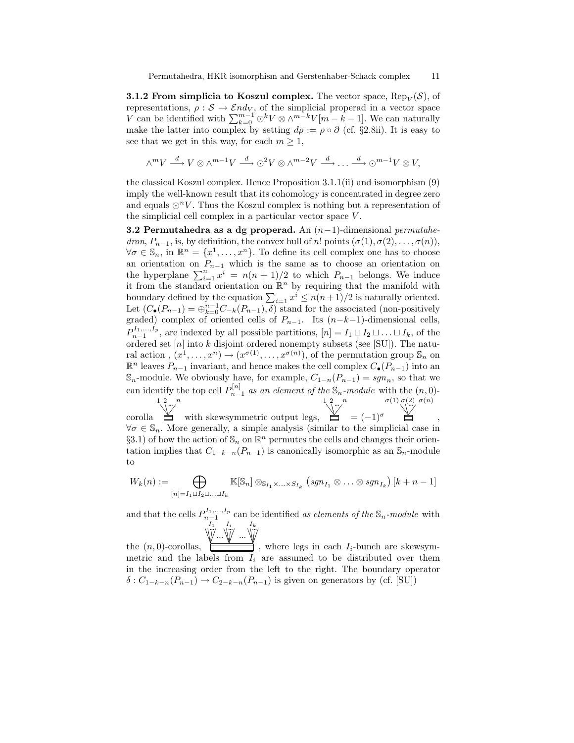**3.1.2 From simplicia to Koszul complex.** The vector space,  $\text{Rep}_V(\mathcal{S})$ , of representations,  $\rho : \mathcal{S} \to \mathcal{E}nd_V$ , of the simplicial properad in a vector space V can be identified with  $\sum_{k=0}^{m-1} \odot^k V \otimes \wedge^{m-k} V[m-k-1]$ . We can naturally make the latter into complex by setting  $d\rho := \rho \circ \partial$  (cf. §2.8ii). It is easy to see that we get in this way, for each  $m \geq 1$ ,

$$
\wedge^m V \stackrel{d}{\longrightarrow} V \otimes \wedge^{m-1} V \stackrel{d}{\longrightarrow} \odot^2 V \otimes \wedge^{m-2} V \stackrel{d}{\longrightarrow} \dots \stackrel{d}{\longrightarrow} \odot^{m-1} V \otimes V,
$$

the classical Koszul complex. Hence Proposition 3.1.1(ii) and isomorphism (9) imply the well-known result that its cohomology is concentrated in degree zero and equals  $\odot^n V$ . Thus the Koszul complex is nothing but a representation of the simplicial cell complex in a particular vector space V .

3.2 Permutahedra as a dg properad. An  $(n-1)$ -dimensional *permutahe*dron,  $P_{n-1}$ , is, by definition, the convex hull of n! points  $(\sigma(1), \sigma(2), \ldots, \sigma(n)),$  $\forall \sigma \in \mathbb{S}_n$ , in  $\mathbb{R}^n = \{x^1, \ldots, x^n\}$ . To define its cell complex one has to choose an orientation on  $P_{n-1}$  which is the same as to choose an orientation on the hyperplane  $\sum_{i=1}^{n} x^{i} = n(n+1)/2$  to which  $P_{n-1}$  belongs. We induce it from the standard orientation on  $\mathbb{R}^n$  by requiring that the manifold with boundary defined by the equation  $\sum_{i=1} x^i \leq n(n+1)/2$  is naturally oriented. Let  $(C_{\bullet}(P_{n-1}) = \bigoplus_{k=0}^{n-1} C_{-k}(P_{n-1}), \overline{\delta})$  stand for the associated (non-positively graded) complex of oriented cells of  $P_{n-1}$ . Its  $(n-k-1)$ -dimensional cells,  $P_{n-1}^{I_1,...,I_p}$ , are indexed by all possible partitions,  $[n] = I_1 \sqcup I_2 \sqcup ... \sqcup I_k$ , of the ordered set  $[n]$  into  $k$  disjoint ordered nonempty subsets (see [SU]). The natural action,  $(x^1, \ldots, x^n) \to (x^{\sigma(1)}, \ldots, x^{\sigma(n)})$ , of the permutation group  $\mathbb{S}_n$  on  $\mathbb{R}^n$  leaves  $P_{n-1}$  invariant, and hence makes the cell complex  $C_{\bullet}(P_{n-1})$  into an  $\mathbb{S}_n$ -module. We obviously have, for example,  $C_{1-n}(P_{n-1}) = sgn_n$ , so that we can identify the top cell  $P_{n-1}^{[n]}$  as an element of the  $\mathbb{S}_n$ -module with the  $(n,0)$ corolla  $\sum_{n=1}^{\infty}$ ... with skewsymmetric output legs,  $\sum_{n=1}^{\infty}$ ...  $= (-1)^{\sigma}$  $\sigma(1) \sigma(2) \sigma(n)$ <br> $\qquadqq{p \choose 2}$ ,

 $\forall \sigma \in \mathbb{S}_n$ . More generally, a simple analysis (similar to the simplicial case in §3.1) of how the action of  $\mathbb{S}_n$  on  $\mathbb{R}^n$  permutes the cells and changes their orientation implies that  $C_{1-k-n}(P_{n-1})$  is canonically isomorphic as an  $\mathbb{S}_n$ -module to

$$
W_k(n) := \bigoplus_{[n] = I_1 \sqcup I_2 \sqcup \ldots \sqcup I_k} \mathbb{K}[\mathbb{S}_n] \otimes_{\mathbb{S}_{I_1} \times \ldots \times S_{I_k}} (sgn_{I_1} \otimes \ldots \otimes sgn_{I_k}) [k+n-1]
$$

and that the cells  $P_{n-1}^{I_1,...,I_p}$  can be identified as elements of the  $\mathbb{S}_n$ -module with \ + + %  $\overline{a}$ %% ļ  $\overline{\phantom{a}}$  $\overline{\phantom{a}}$  $\frac{l_1}{r}$ ...  $\overline{ }$ \ 1 %  $\overline{a}$ % ļ  $\overline{\phantom{a}}$  $\overline{\phantom{a}}$ ... ...  $\overline{ }$ \ + %  $\overline{a}$ % ļ  $\overline{\phantom{a}}$  $\overline{\phantom{a}}$  $I_1$   $I_i$   $I_k$ <br> $\cdots$   $\cdots$   $\cdots$ 

the  $(n, 0)$ -corollas, + ļ ĺ  $\overline{\phantom{a}}$ ľ + % ļ  $\overline{\phantom{a}}$  $\overline{\phantom{a}}$  $\frac{1}{2}$ + % ļ Í  $\overline{\phantom{a}}$ ľ , where legs in each  $I_i$ -bunch are skewsymmetric and the labels from  $I_i$  are assumed to be distributed over them in the increasing order from the left to the right. The boundary operator  $\delta$  :  $C_{1-k-n}(P_{n-1}) \to C_{2-k-n}(P_{n-1})$  is given on generators by (cf. [SU])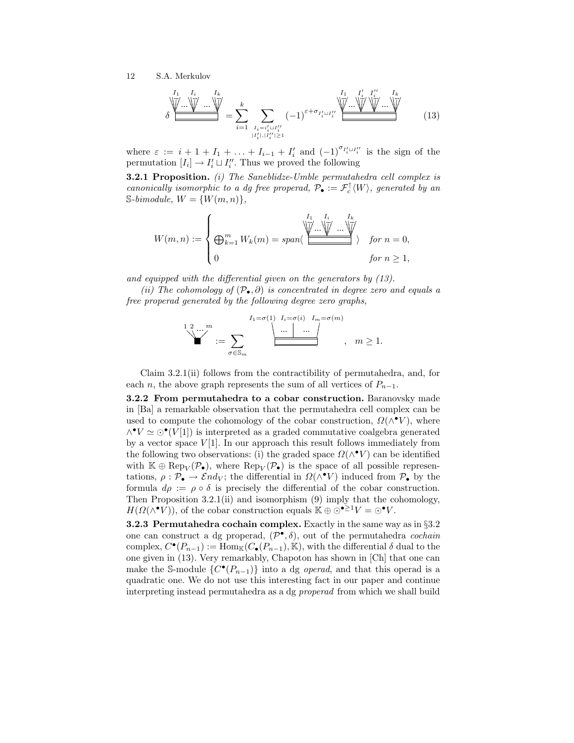δ + + + + % % %% ... ... + + + % % %% ... ... + + + % % % % ... I<sup>1</sup> I<sup>i</sup> I<sup>k</sup> = X k i=1 X Ii=i 0 i tI 00 i |I 0 i |,|I 00 i |≥1 (−1)ε+σ<sup>I</sup> 0 i tI 00 i + + + + % % % % ... ... + + + + % % % % ... + + + + % % % % ... ... + + + + % % % % ... I<sup>1</sup> I 0 i I 00 i Ik (13)

where  $\varepsilon := i + 1 + I_1 + \ldots + I_{i-1} + I'_i$  and  $(-1)^{\sigma_{I'_i \sqcup I''_i}}$  is the sign of the permutation  $[I_i] \to I'_i \sqcup I''_i$ . Thus we proved the following

**3.2.1 Proposition.** (i) The Saneblidze-Umble permutahedra cell complex is canonically isomorphic to a dg free properad,  $\mathcal{P}_{\bullet} := \mathcal{F}_{c}^{\uparrow}(W)$ , generated by an  $\mathbb{S}\text{-}\text{bimodule}, W = \{W(m,n)\},\$ 

$$
W(m,n) := \begin{cases} \bigoplus_{k=1}^{m} W_k(m) = span \langle \underbrace{\bigoplus_{k=1}^{I_1} W_k \dots \bigvee_{k=1}^{I_k} \dots \bigvee_{k=1}^{I_k}}_{\text{for } n \geq 1, \text{for } n \geq 1, \text{if } n \geq 1, \text{if } n \geq 1, \text{if } n \geq 1, \text{if } n \geq 1, \text{if } n \geq 1, \text{if } n \geq 1, \text{if } n \geq 1, \text{if } n \geq 1, \text{if } n \geq 1, \text{if } n \geq 1, \text{if } n \geq 1, \text{if } n \geq 1, \text{if } n \geq 1, \text{if } n \geq 1, \text{if } n \geq 1, \text{if } n \geq 1, \text{if } n \geq 1, \text{if } n \geq 1, \text{if } n \geq 1, \text{if } n \geq 1, \text{if } n \geq 1, \text{if } n \geq 1, \text{if } n \geq 1, \text{if } n \geq 1, \text{if } n \geq 1, \text{if } n \geq 1, \text{if } n \geq 1, \text{if } n \geq 1, \text{if } n \geq 1, \text{if } n \geq 1, \text{if } n \geq 1, \text{if } n \geq 1, \text{if } n \geq 1, \text{if } n \geq 1, \text{if } n \geq 1, \text{if } n \geq 1, \text{if } n \geq 1, \text{if } n \geq 1, \text{if } n \geq 1, \text{if } n \geq 1, \text{if } n \geq 1, \text{if } n \geq 1, \text{if } n \geq 1, \text{if } n \geq 1, \text{if } n \geq 1, \text{if } n \geq 1, \text{if } n \geq 1, \text{if } n \geq 1, \text{if } n \geq 1, \text{if } n \geq 1, \text{if } n \geq 1, \text{if } n \geq 1, \text{if } n \geq 1, \text{if } n \geq 1, \text{if } n \
$$

and equipped with the differential given on the generators by (13).

(ii) The cohomology of  $(\mathcal{P}_{\bullet}, \partial)$  is concentrated in degree zero and equals a free properad generated by the following degree zero graphs,

$$
\sum_{\sigma \in \mathbb{S}_m}^{1 \text{ 2} \dots m} := \sum_{\sigma \in \mathbb{S}_m} \frac{I_1 = \sigma(1) \quad I_i = \sigma(i) \quad I_m = \sigma(m)}{\underbrace{\dots \mid \dots \mid}_{\sigma \in \mathbb{S}_m}, \quad m \ge 1}.
$$

Claim 3.2.1(ii) follows from the contractibility of permutahedra, and, for each *n*, the above graph represents the sum of all vertices of  $P_{n-1}$ .

3.2.2 From permutahedra to a cobar construction. Baranovsky made in [Ba] a remarkable observation that the permutahedra cell complex can be used to compute the cohomology of the cobar construction,  $\Omega(\wedge^{\bullet} V)$ , where  $\wedge^{\bullet} V \simeq \odot^{\bullet}(V[1])$  is interpreted as a graded commutative coalgebra generated by a vector space  $V[1]$ . In our approach this result follows immediately from the following two observations: (i) the graded space  $\Omega(\wedge^{\bullet} V)$  can be identified with  $\mathbb{K} \oplus \text{Rep}_V(\mathcal{P}_{\bullet})$ , where  $\text{Rep}_V(\mathcal{P}_{\bullet})$  is the space of all possible representations,  $\rho : \mathcal{P}_\bullet \to \mathcal{E}nd_V$ ; the differential in  $\Omega(\wedge^{\bullet}V)$  induced from  $\mathcal{P}_\bullet$  by the formula  $d\rho := \rho \circ \delta$  is precisely the differential of the cobar construction. Then Proposition 3.2.1(ii) and isomorphism (9) imply that the cohomology,  $H(\Omega(\wedge^{\bullet}V))$ , of the cobar construction equals  $\mathbb{K} \oplus \odot^{\bullet \geq 1}V = \odot^{\bullet}V$ .

3.2.3 Permutahedra cochain complex. Exactly in the same way as in §3.2 one can construct a dg properad,  $(\mathcal{P}^{\bullet}, \delta)$ , out of the permutahedra *cochain* complex,  $C^{\bullet}(P_{n-1}) := \text{Hom}_{\mathbb{K}}(C_{\bullet}(P_{n-1}), \mathbb{K})$ , with the differential  $\delta$  dual to the one given in (13). Very remarkably, Chapoton has shown in [Ch] that one can make the S-module  $\{C^{\bullet}(P_{n-1})\}$  into a dg *operad*, and that this operad is a quadratic one. We do not use this interesting fact in our paper and continue interpreting instead permutahedra as a dg properad from which we shall build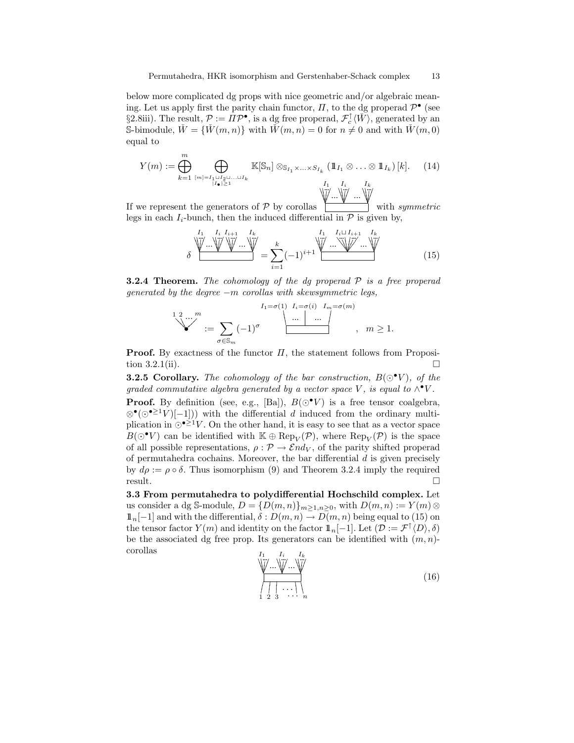below more complicated dg props with nice geometric and/or algebraic meaning. Let us apply first the parity chain functor,  $\Pi$ , to the dg properad  $\mathcal{P}^{\bullet}$  (see §2.8iii). The result,  $P := \Pi P^{\bullet}$ , is a dg free properad,  $\mathcal{F}_c^{\uparrow} \langle \check{W} \rangle$ , generated by an S-bimodule,  $\check{W} = \{\check{W}(m,n)\}\$  with  $\check{W}(m,n) = 0$  for  $n \neq 0$  and with  $\check{W}(m,0)$ equal to

$$
Y(m) := \bigoplus_{k=1}^{m} \bigoplus_{[m] = I_1 \sqcup I_2 \sqcup \ldots \sqcup I_k \atop |I_{\bullet}| \ge 1} \mathbb{K}[\mathbb{S}_n] \otimes_{\mathbb{S}_{I_1} \times \ldots \times S_{I_k}} (\mathbb{1}_{I_1} \otimes \ldots \otimes \mathbb{1}_{I_k}) [k]. \tag{14}
$$

If we represent the generators of  $P$  by corollas + + % % Į I  $\overline{\phantom{a}}$  $\overline{\phantom{a}}$ ľ … \∦ … + + ļ l  $\overline{\phantom{a}}$  $\overline{\phantom{a}}$ Ľ + + % % ļ  $\overline{\phantom{a}}$  $\overline{\phantom{a}}$ ľ with symmetric legs in each  $I_i$ -bunch, then the induced differential in  $P$  is given by,

$$
\delta \underbrace{\bigvee^{I_1} \dots \bigvee^{I_k} \bigvee^{I_{i+1}} \dots \bigvee^{I_k}}_{i=1} = \sum_{i=1}^k (-1)^{i+1} \underbrace{\bigvee^{I_1} \dots \bigvee^{I_k} \dots \bigvee^{I_k}}_{(15)}
$$

**3.2.4 Theorem.** The cohomology of the dg properad  $P$  is a free properad generated by the degree  $-m$  corollas with skewsymmetric legs,

$$
I_{1} = \sigma(1) \quad I_{n} = \sigma(n)
$$
  

$$
\begin{array}{c}\n 1 \quad 2 \quad \dots \quad m \\
 \text{...} \quad \text{...} \quad \text{...} \quad \text{...} \\
 \text{...} \quad \text{...} \quad \text{...} \quad \text{...} \\
 \text{...} \quad \text{...} \quad \text{...} \quad \text{...} \quad \text{...} \\
 \text{...} \quad \text{...} \quad \text{...} \quad \text{...} \quad \text{...} \quad \text{...} \quad \text{...} \quad \text{...} \\
 \text{...} \quad \text{...} \quad \text{...} \quad \text{...} \quad \text{...} \quad \text{...} \quad \text{...} \quad \text{...} \quad \text{...} \quad \text{...} \quad \text{...} \quad \text{...} \quad \text{...} \quad \text{...} \quad \text{...} \quad \text{...} \quad \text{...} \quad \text{...} \quad \text{...} \quad \text{...} \quad \text{...} \quad \text{...} \quad \text{...} \quad \text{...} \quad \text{...} \quad \text{...} \quad \text{...} \quad \text{...} \quad \text{...} \quad \text{...} \quad \text{...} \quad \text{...} \quad \text{...} \quad \text{...} \quad \text{...} \quad \text{...} \quad \text{...} \quad \text{...} \quad \text{...} \quad \text{...} \quad \text{...} \quad \text{...} \quad \text{...} \quad \text{...} \quad \text{...} \quad \text{...} \quad \text{...} \quad \text{...} \quad \text{...} \quad \text{...} \quad \text{...} \quad \text{...} \quad \text{...} \quad \text{...} \quad \text{...} \quad \text{...} \quad \text{...} \quad \text{...} \quad \text{...} \quad \text{...} \quad \text{...} \quad \text{...} \quad \text{...} \quad \text{...} \quad \text{...} \quad \text{...} \quad \text{...} \quad \text{...} \quad \text{...} \quad \text{...} \quad \text{...} \quad \text{...} \quad \text{...} \quad \text{...} \quad \text{...} \quad \text{...} \quad \text{...} \quad \text{...} \quad \text{...} \quad \text{...} \quad \text{...}
$$

**Proof.** By exactness of the functor  $\Pi$ , the statement follows from Proposition 3.2.1(ii).  $\Box$ 

**3.2.5 Corollary.** The cohomology of the bar construction,  $B(\odot \bullet V)$ , of the graded commutative algebra generated by a vector space V, is equal to  $\wedge^{\bullet}V$ .

**Proof.** By definition (see, e.g., [Ba]),  $B(\bigcirc^{\bullet}V)$  is a free tensor coalgebra,  $\otimes^{\bullet}(\odot^{\bullet \geq 1}V)[-1])$  with the differential d induced from the ordinary multiplication in  $\bigcirc$  <sup>21</sup>V. On the other hand, it is easy to see that as a vector space  $B(\odot^{\bullet} V)$  can be identified with  $\mathbb{K} \oplus \text{Rep}_V(\mathcal{P})$ , where  $\text{Rep}_V(\mathcal{P})$  is the space of all possible representations,  $\rho : \mathcal{P} \to \mathcal{E} nd_V$ , of the parity shifted properad of permutahedra cochains. Moreover, the bar differential  $d$  is given precisely by  $d\rho := \rho \circ \delta$ . Thus isomorphism (9) and Theorem 3.2.4 imply the required result.

3.3 From permutahedra to polydifferential Hochschild complex. Let us consider a dg S-module,  $D = \{D(m, n)\}_{m \geq 1, n \geq 0}$ , with  $D(m, n) := Y(m) \otimes$  $1\!\!1_n[-1]$  and with the differential,  $\delta: D(m,n) \to D(m,n)$  being equal to (15) on the tensor factor  $Y(m)$  and identity on the factor  $\mathbb{1}_n[-1]$ . Let  $(\mathcal{D} := \mathcal{F}^{\uparrow}(D), \delta)$ be the associated dg free prop. Its generators can be identified with  $(m, n)$ corollas

$$
\begin{array}{c}\nI_1 & I_i & I_k \\
\hline\n\vdots & \ddots & \vdots \\
\hline\n\vdots & \ddots & \vdots \\
1 & 2 & 3 & \cdots & n\n\end{array}
$$
\n(16)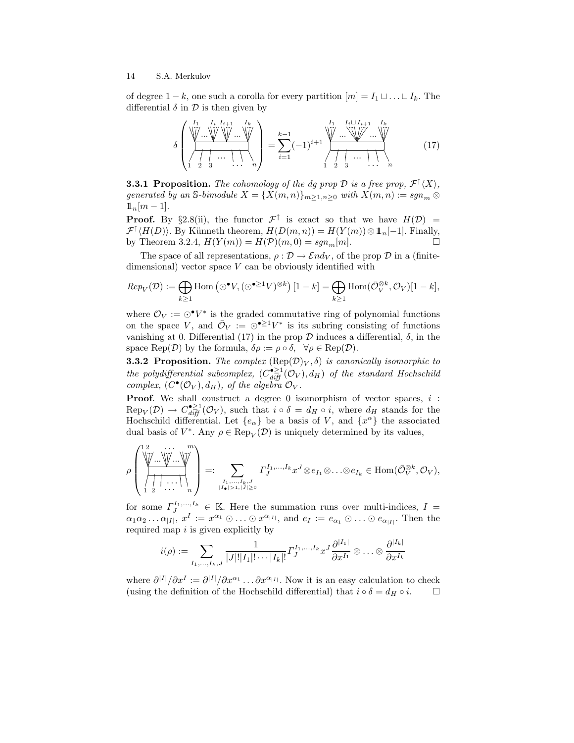of degree  $1 - k$ , one such a corolla for every partition  $[m] = I_1 \sqcup \ldots \sqcup I_k$ . The differential  $\delta$  in  $\mathcal D$  is then given by

δ + + + + % % %% ... ... + + + + % % %% ... + + + + % % %% ... ... + + + + % % %% ... ... - - - & & & # # # I<sup>1</sup> I<sup>i</sup> Ii+1 I<sup>k</sup> 1 2 3 . . . <sup>n</sup> = k X−1 i=1 (−1)i+1 + + + + % % %% ... ... 6 6 6 6 - - - % % % % ... ... ... + + + + % % % % ... ... - - - & & & # # # I<sup>1</sup> Iit Ii+1 I<sup>k</sup> 1 2 3 . . . <sup>n</sup> (17)

**3.3.1 Proposition.** The cohomology of the dg prop  $\mathcal{D}$  is a free prop,  $\mathcal{F}^{\uparrow}(X)$ , generated by an S-bimodule  $X = \{X(m,n)\}_{m\geq 1,n\geq 0}$  with  $X(m,n) := sgn_m \otimes$  $1\!\!1_n[m-1]$ .

**Proof.** By §2.8(ii), the functor  $\mathcal{F}^{\uparrow}$  is exact so that we have  $H(\mathcal{D}) =$  $\mathcal{F}^{\uparrow}\langle H(D)\rangle$ . By Künneth theorem,  $H(D(m,n))=H(Y(m))\otimes 1\!\!1_{n}[-1]$ . Finally, by Theorem 3.2.4,  $H(Y(m)) = H(\mathcal{P})(m, 0) = sgn_m[m]$ .

The space of all representations,  $\rho : \mathcal{D} \to \mathcal{E} nd_V$ , of the prop  $\mathcal{D}$  in a (finitedimensional) vector space  $V$  can be obviously identified with

$$
Rep_V(\mathcal{D}) := \bigoplus_{k \ge 1} \text{Hom}\left(\odot^{\bullet}V, (\odot^{\bullet \ge 1}V)^{\otimes k}\right)[1-k] = \bigoplus_{k \ge 1} \text{Hom}(\bar{\mathcal{O}}_V^{\otimes k}, \mathcal{O}_V)[1-k],
$$

where  $\mathcal{O}_V := \odot^{\bullet} V^*$  is the graded commutative ring of polynomial functions on the space V, and  $\overline{\mathcal{O}}_V := \odot^{\bullet \geq 1} V^*$  is its subring consisting of functions vanishing at 0. Differential (17) in the prop  $\mathcal D$  induces a differential,  $\delta$ , in the space Rep( $\mathcal{D}$ ) by the formula,  $\delta \rho := \rho \circ \delta$ ,  $\forall \rho \in \text{Rep}(\mathcal{D})$ .

**3.3.2 Proposition.** The complex  $(\text{Rep}(\mathcal{D})_V, \delta)$  is canonically isomorphic to the polydifferential subcomplex,  $(C_{diff}^{\bullet \geq 1}(\mathcal{O}_V), d_H)$  of the standard Hochschild complex,  $(C^{\bullet}(\mathcal{O}_V), d_H)$ , of the algebra  $\mathcal{O}_V$ .

**Proof.** We shall construct a degree 0 isomorphism of vector spaces,  $i$ :  $\text{Rep}_V(\mathcal{D}) \to C_{diff}^{\bullet \geq 1}(\mathcal{O}_V)$ , such that  $i \circ \delta = d_H \circ i$ , where  $d_H$  stands for the Hochschild differential. Let  $\{e_{\alpha}\}\$ be a basis of V, and  $\{x^{\alpha}\}\$ the associated dual basis of  $V^*$ . Any  $\rho \in \operatorname{Rep}_V(\mathcal{D})$  is uniquely determined by its values,

$$
\rho\left(\overrightarrow{\left(\overrightarrow{\bigvee_{i=1}^{n}\dots\bigvee_{i=1}^{n}}\cdots\bigvee_{i=1}^{n}\right)}_{i=1}^{n}\right)=:\sum_{I_{\bullet}^{I_{1},\dots,I_{k},J}\atop |I_{\bullet}|>1,|J|\ge0}I_{J}^{I_{1},\dots,I_{k}}x^{J}\otimes e_{I_{1}}\otimes\ldots\otimes e_{I_{k}}\in\text{Hom}(\bar{\mathcal{O}}_{V}^{\otimes k},\mathcal{O}_{V}),
$$

for some  $\Gamma_{J}^{I_{1},...,I_{k}} \in \mathbb{K}$ . Here the summation runs over multi-indices,  $I =$  $\alpha_1\alpha_2 \ldots \alpha_{|I|}, x^I := x^{\alpha_1} \odot \ldots \odot x^{\alpha_{|I|}},$  and  $e_I := e_{\alpha_1} \odot \ldots \odot e_{\alpha_{|I|}}.$  Then the required map  $i$  is given explicitly by

$$
i(\rho):=\sum_{I_1,...,I_k,J}\frac{1}{|J|!|I_1|!\cdots|I_k|!} \varGamma_J^{I_1,...,I_k}x^J\frac{\partial^{|I_1|}}{\partial x^{I_1}}\otimes\ldots\otimes \frac{\partial^{|I_k|}}{\partial x^{I_k}}
$$

where  $\partial^{|I|}/\partial x^I := \partial^{|I|}/\partial x^{\alpha_1} \dots \partial x^{\alpha_{|I|}}$ . Now it is an easy calculation to check (using the definition of the Hochschild differential) that  $i \circ \delta = d_H \circ i$ .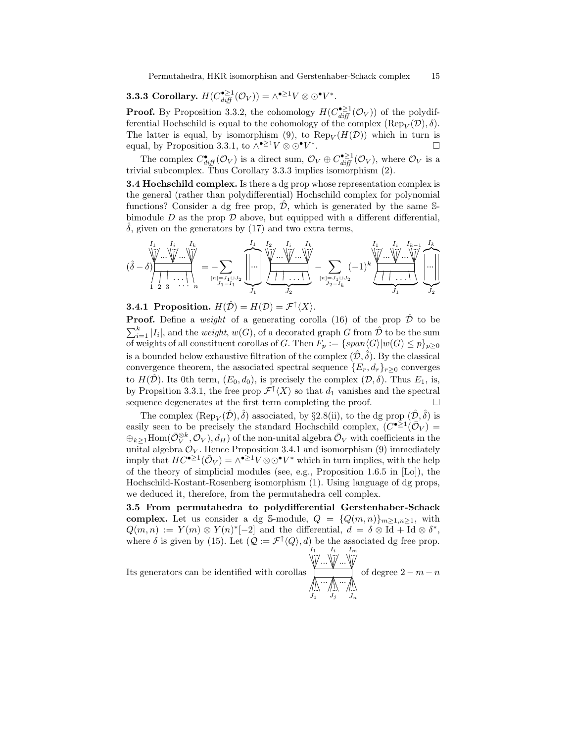Permutahedra, HKR isomorphism and Gerstenhaber-Schack complex 15

**3.3.3 Corollary.** 
$$
H(C_{diff}^{\bullet \geq 1}(\mathcal{O}_V)) = \wedge^{\bullet \geq 1}V \otimes \odot^{\bullet}V^*
$$
.

**Proof.** By Proposition 3.3.2, the cohomology  $H(C_{diff}^{\bullet \ge 1}(\mathcal{O}_V))$  of the polydifferential Hochschild is equal to the cohomology of the complex  $(\text{Rep}_V(\mathcal{D}), \delta)$ . The latter is equal, by isomorphism (9), to  $\text{Rep}_V(H(\mathcal{D}))$  which in turn is equal, by Proposition 3.3.1, to  $\wedge^{\bullet \geq 1} V \otimes \odot^{\bullet} V^*$ .

The complex  $C_{diff}^{\bullet}(\mathcal{O}_V)$  is a direct sum,  $\mathcal{O}_V \oplus C_{diff}^{\bullet \geq 1}(\mathcal{O}_V)$ , where  $\mathcal{O}_V$  is a trivial subcomplex. Thus Corollary 3.3.3 implies isomorphism (2).

**3.4 Hochschild complex.** Is there a dg prop whose representation complex is the general (rather than polydifferential) Hochschild complex for polynomial functions? Consider a dg free prop,  $\hat{\mathcal{D}}$ , which is generated by the same Sbimodule  $D$  as the prop  $D$  above, but equipped with a different differential,  $\delta$ , given on the generators by (17) and two extra terms,

$$
(\hat{\delta}-\delta)\frac{\prod_{i=1}^{I_1}\dots\prod_{i=1}^{I_k}\dots\prod_{i=1}^{I_k}}{\prod_{j=1}^{I_1}\dots\prod_{j=1}^{I_k}\dots\prod_{j=1}^{I_{j=1}}\dots\prod_{j=1}^{I_1}\dots\prod_{j=1}^{I_2}\dots\prod_{j=1}^{I_k}\dots\prod_{j=1}^{I_k}}-\sum_{j=1}^{I_1}\sum_{j=1}^{I_2}\dots\prod_{j=1}^{I_k}\dots\prod_{j=1}^{I_k}\dots\prod_{j=1}^{I_k}\dots\prod_{j=1}^{I_k}\dots\prod_{j=1}^{I_k}\dots\prod_{j=1}^{I_k}\dots\prod_{j=1}^{I_k}\dots\prod_{j=1}^{I_k}\dots\prod_{j=1}^{I_k}\dots\prod_{j=1}^{I_k}\dots\prod_{j=1}^{I_k}\dots\prod_{j=1}^{I_k}\dots\prod_{j=1}^{I_k}\dots\prod_{j=1}^{I_k}\dots\prod_{j=1}^{I_k}\dots\prod_{j=1}^{I_k}\dots\prod_{j=1}^{I_k}\dots\prod_{j=1}^{I_k}\dots\prod_{j=1}^{I_k}\dots\prod_{j=1}^{I_k}\dots\prod_{j=1}^{I_k}\dots\prod_{j=1}^{I_k}\dots\prod_{j=1}^{I_k}\dots\prod_{j=1}^{I_k}\dots\prod_{j=1}^{I_k}\dots\prod_{j=1}^{I_k}\dots\prod_{j=1}^{I_k}\dots\prod_{j=1}^{I_k}\dots\prod_{j=1}^{I_k}\dots\prod_{j=1}^{I_k}\dots\prod_{j=1}^{I_k}\dots\prod_{j=1}^{I_k}\dots\prod_{j=1}^{I_k}\dots\prod_{j=1}^{I_k}\dots\prod_{j=1}^{I_k}\dots\prod_{j=1}^{I_k}\dots\prod_{j=1}^{I_k}\dots\prod_{j=1}^{I_k}\dots\prod_{j=1}^{I_k}\dots\prod_{j=1}^{I_k}\dots\prod_{j=1}^{I_k}\dots\prod_{j=1}^{I_k}\dots\prod_{j=1}^{I_k}\dots\prod_{j=1}^{I_k}\dots\prod_{j=1}^{I_k}\dots\prod_{j=1}^{I_k}\dots\prod_{j=1}^{I_k}\dots\prod_{j=1}^{I_k}\dots\prod_{j=1}^{I_k}\dots\prod_{j=1}^{I_k}\dots
$$

**3.4.1 Proposition.**  $H(\hat{\mathcal{D}}) = H(\mathcal{D}) = \mathcal{F}^{\uparrow} \langle X \rangle$ .

**Proof.** Define a weight of a generating corolla (16) of the prop  $\hat{\mathcal{D}}$  to be  $\sum_{i=1}^{k} |I_i|$ , and the *weight*,  $w(G)$ , of a decorated graph G from  $\hat{\mathcal{D}}$  to be the sum of weights of all constituent corollas of G. Then  $F_p := \{span \langle G \rangle | w(G) \leq p\}_{p\geq 0}$ is a bounded below exhaustive filtration of the complex  $(\hat{\mathcal{D}}, \hat{\delta})$ . By the classical convergence theorem, the associated spectral sequence  ${E_r, d_r}_{r>0}$  converges to  $H(\hat{\mathcal{D}})$ . Its 0th term,  $(E_0, d_0)$ , is precisely the complex  $(\mathcal{D}, \delta)$ . Thus  $E_1$ , is, by Propsition 3.3.1, the free prop  $\mathcal{F}^{\uparrow} \langle X \rangle$  so that  $d_1$  vanishes and the spectral sequence degenerates at the first term completing the proof.  $\Box$ 

The complex  $(\text{Rep}_V(\hat{\mathcal{D}}), \hat{\delta})$  associated, by §2.8(ii), to the dg prop  $(\hat{\mathcal{D}}, \hat{\delta})$  is easily seen to be precisely the standard Hochschild complex,  $(C^{\bullet \geq 1}(\overline{\mathcal{O}}_V))$  $\oplus_{k\geq 1}$ Hom $(\bar{\mathcal{O}}_V^{\otimes k}, \bar{\mathcal{O}}_V), d_H)$  of the non-unital algebra  $\bar{\mathcal{O}}_V$  with coefficients in the unital algebra  $\mathcal{O}_V$ . Hence Proposition 3.4.1 and isomorphism (9) immediately imply that  $HC^{\bullet \geq 1}(\bar{\mathcal{O}}_V) = \wedge^{\bullet \geq 1} V \otimes \odot^{\bullet} V^*$  which in turn implies, with the help of the theory of simplicial modules (see, e.g., Proposition 1.6.5 in [Lo]), the Hochschild-Kostant-Rosenberg isomorphism (1). Using language of dg props, we deduced it, therefore, from the permutahedra cell complex.

3.5 From permutahedra to polydifferential Gerstenhaber-Schack complex. Let us consider a dg S-module,  $Q = \{Q(m,n)\}_{m\geq 1,n\geq 1}$ , with  $Q(m,n) := Y(m) \otimes Y(n)^*[-2]$  and the differential,  $d = \delta \otimes \overline{Id} + \overline{Id} \otimes \delta^*$ , where  $\delta$  is given by (15). Let  $(Q := \mathcal{F}^{\dagger} \langle Q \rangle, d)$  be the associated dg free prop. |<br>|

 $\overline{\phantom{a}}$ 

Its generators can be identified with corollas

$$
\begin{array}{ll}\nI_1 & I_i & I_m \\
\hline\n\bigvee_{i=1}^{n} \dots \bigvee_{i=1}^{n} \dots \bigvee_{i=1}^{n} \\
\hline\n\bigwedge_{j=1}^{n} \dots \bigwedge_{j=1}^{n} \\
\hline\n\bigvee_{j=1}^{n} \dots \bigvee_{j=1}^{n} \dots \bigvee_{j=n}^{n} \\
\hline\n\end{array}\n\text{of degree } 2 - m - n
$$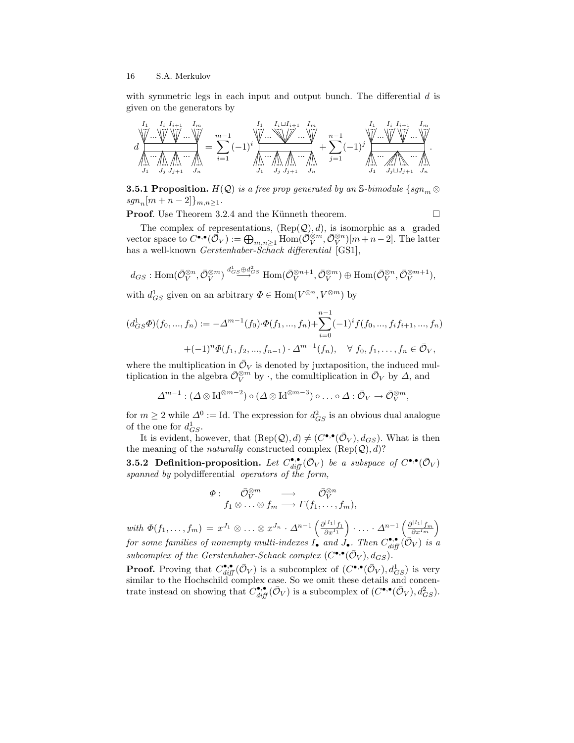with symmetric legs in each input and output bunch. The differential  $d$  is given on the generators by

$$
d\underset{J_1}{\underbrace{\bigwarrow{\bigvee}}\cdots\underset{J_j}{\underbrace{\bigvee}}\cdots\underset{J_j}{\underbrace{\bigvee}}\cdots\underset{J_{j+1}}{\underbrace{\bigvee}}\cdots\underset{J_n}{\underbrace{\bigvee}}\cdots\underset{J_n}{\underbrace{\bigvee}}\cdots\underset{J_1}{\underbrace{\bigvee}}\cdots\underset{J_j}{\underbrace{\bigvee}}\cdots\underset{J_{j+1}}{\underbrace{\bigvee}}\cdots\underset{J_n}{\underbrace{\bigvee}}\cdots\underset{J_n}{\underbrace{\bigvee}}\cdots\underset{J_n}{\underbrace{\bigvee}}\cdots\underset{J_n}{\underbrace{\bigvee}}\cdots\underset{J_1}{\underbrace{\bigvee}}\cdots\underset{J_1}{\underbrace{\bigvee}}\cdots\underset{J_1}{\underbrace{\bigvee}}\cdots\underset{J_1}{\underbrace{\bigvee}}\cdots\underset{J_{j+1}}{\underbrace{\bigvee}}\cdots\underset{J_n}{\underbrace{\bigvee}}\cdots\underset{J_n}{\underbrace{\bigvee}}\cdots\underset{J_n}{\underbrace{\bigvee}}\cdots\underset{J_n}{\underbrace{\bigvee}}\cdots\underset{J_n}{\underbrace{\bigvee}}\cdots\underset{J_n}{\underbrace{\bigvee}}\cdots\underset{J_n}{\underbrace{\bigvee}}\cdots\underset{J_n}{\underbrace{\bigvee}}\cdots\underset{J_n}{\underbrace{\bigvee}}\cdots\underset{J_n}{\underbrace{\bigvee}}\cdots\underset{J_n}{\underbrace{\bigvee}}\cdots\underset{J_n}{\underbrace{\bigvee}}\cdots\underset{J_n}{\underbrace{\bigvee}}\cdots\underset{J_n}{\underbrace{\bigvee}}\cdots\underset{J_n}{\underbrace{\bigvee}}\cdots\underset{J_n}{\underbrace{\bigvee}}\cdots\underset{J_n}{\underbrace{\bigvee}}\cdots\underset{J_n}{\underbrace{\bigvee}}\cdots\underset{J_n}{\underbrace{\bigvee}}\cdots\underset{J_n}{\underbrace{\bigvee}}\cdots\underset{J_n}{\underbrace{\bigvee}}\cdots\underset{J_n}{\underbrace{\bigvee}}\cdots\underset{J_n}{\underbrace{\bigvee}}\cdots\
$$

**3.5.1 Proposition.**  $H(Q)$  is a free prop generated by an S-bimodule {sgn<sub>m</sub>  $\otimes$  $sgn_n[m + n - 2]\}_{m,n \geq 1}.$ 

**Proof.** Use Theorem 3.2.4 and the Künneth theorem.  $\Box$ 

The complex of representations,  $(\text{Rep}(\mathcal{Q}), d)$ , is isomorphic as a graded vector space to  $C^{\bullet,\bullet}(\bar{\mathcal{O}}_V) := \bigoplus_{m,n\geq 1} \text{Hom}(\bar{\mathcal{O}}_V^{\otimes m}, \bar{\mathcal{O}}_V^{\otimes n})[m+n-2]$ . The latter has a well-known *Gerstenhaber-Schack differential* [GS1],

$$
d_{GS}
$$
: Hom $(\overline{O}_{V}^{\otimes n}, \overline{O}_{V}^{\otimes m}) \stackrel{d_{GS}^{1} \otimes d_{GS}^{2}}{\longrightarrow}$  Hom $(\overline{O}_{V}^{\otimes n+1}, \overline{O}_{V}^{\otimes m}) \oplus$  Hom $(\overline{O}_{V}^{\otimes n}, \overline{O}_{V}^{\otimes m+1}),$ 

with  $d_{GS}^1$  given on an arbitrary  $\Phi \in \text{Hom}(V^{\otimes n}, V^{\otimes m})$  by

$$
(d_{GS}^1 \Phi)(f_0, ..., f_n) := -\Delta^{m-1}(f_0) \cdot \Phi(f_1, ..., f_n) + \sum_{i=0}^{n-1} (-1)^i f(f_0, ..., f_i f_{i+1}, ..., f_n)
$$

$$
+ (-1)^n \Phi(f_1, f_2, ..., f_{n-1}) \cdot \Delta^{m-1}(f_n), \quad \forall \ f_0, f_1, ..., f_n \in \bar{\mathcal{O}}_V,
$$

where the multiplication in  $\bar{\mathcal{O}}_V$  is denoted by juxtaposition, the induced multiplication in the algebra  $\overline{\mathcal{O}}_V^{\otimes m}$  by  $\cdot$ , the comultiplication in  $\overline{\mathcal{O}}_V$  by  $\Delta$ , and

$$
\Delta^{m-1} : (\Delta \otimes \mathrm{Id}^{\otimes m-2}) \circ (\Delta \otimes \mathrm{Id}^{\otimes m-3}) \circ \ldots \circ \Delta : \bar{\mathcal{O}}_V \to \bar{\mathcal{O}}_V^{\otimes m},
$$

for  $m \geq 2$  while  $\Delta^0 := \text{Id}$ . The expression for  $d_{GS}^2$  is an obvious dual analogue of the one for  $d_{GS}^1$ .

It is evident, however, that  $(\text{Rep}(Q), d) \neq (C^{\bullet, \bullet}(\bar{\mathcal{O}}_V), d_{GS})$ . What is then the meaning of the *naturally* constructed complex  $(Rep(Q), d)$ ?

**3.5.2** Definition-proposition. Let  $C_{diff}^{\bullet,\bullet}(\bar{\mathcal{O}}_V)$  be a subspace of  $C^{\bullet,\bullet}(\bar{\mathcal{O}}_V)$ spanned by polydifferential operators of the form,

$$
\begin{array}{ccc}\varPhi :& \bar{\mathcal{O}}_V^{\otimes m} & \longrightarrow & \bar{\mathcal{O}}_V^{\otimes n} \\ & f_1 \otimes \ldots \otimes f_m \longrightarrow \varGamma(f_1, \ldots, f_m),\end{array}
$$

with  $\Phi(f_1,\ldots,f_m) = x^{J_1} \otimes \ldots \otimes x^{J_n} \cdot \Delta^{n-1} \left( \frac{\partial^{|I_1|} f_1}{\partial x^{I_1}} \right) \cdot \ldots \cdot \Delta^{n-1} \left( \frac{\partial^{|I_1|} f_m}{\partial x^{I_m}} \right)$ for some families of nonempty multi-indexes  $I_{\bullet}$  and  $\widetilde{J}_{\bullet}$ . Then  $C_{diff}^{\bullet,\bullet}(\bar{\cal O}_V)$  is a subcomplex of the Gerstenhaber-Schack complex  $(C^{\bullet,\bullet}(\bar{\mathcal{O}}_V), d_{GS})$ .

**Proof.** Proving that  $C_{diff}^{\bullet,\bullet}(\bar{\mathcal{O}}_V)$  is a subcomplex of  $(C^{\bullet,\bullet}(\bar{\mathcal{O}}_V), d_{GS}^1)$  is very similar to the Hochschild complex case. So we omit these details and concentrate instead on showing that  $C_{diff}^{\bullet,\bullet}(\bar{\mathcal{O}}_V)$  is a subcomplex of  $(C^{\bullet,\bullet}(\bar{\mathcal{O}}_V), d_{GS}^2)$ .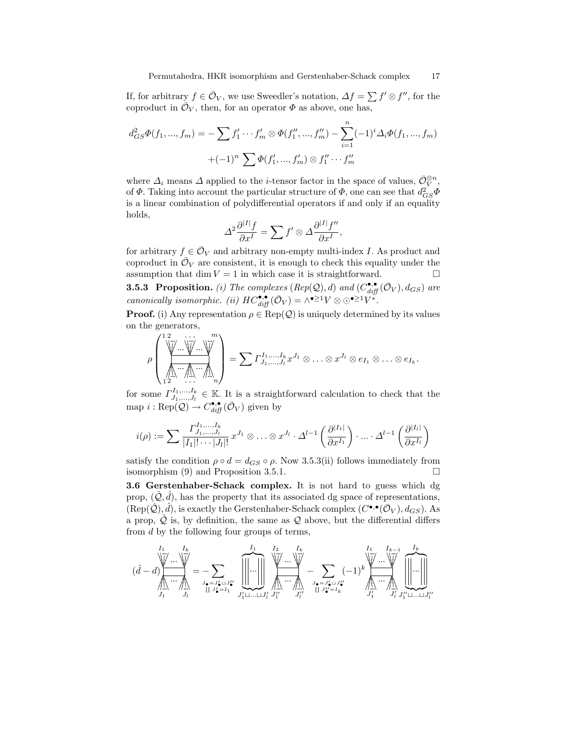If, for arbitrary  $f \in \bar{\mathcal{O}}_V$ , we use Sweedler's notation,  $\Delta f = \sum f' \otimes f''$ , for the coproduct in  $\overline{\mathcal{O}}_V$ , then, for an operator  $\Phi$  as above, one has,

$$
d_{GS}^2 \Phi(f_1, ..., f_m) = -\sum f'_1 \cdots f'_m \otimes \Phi(f''_1, ..., f''_m) - \sum_{i=1}^n (-1)^i \Delta_i \Phi(f_1, ..., f_m)
$$

$$
+ (-1)^n \sum \Phi(f'_1, ..., f'_m) \otimes f''_1 \cdots f''_m
$$

where  $\Delta_i$  means  $\Delta$  applied to the *i*-tensor factor in the space of values,  $\bar{\mathcal{O}}_V^{\otimes n}$ , of  $\Phi$ . Taking into account the particular structure of  $\Phi$ , one can see that  $d_{GS}^2 \Phi$ is a linear combination of polydifferential operators if and only if an equality holds,

$$
\Delta^2 \frac{\partial^{|I|} f}{\partial x^I} = \sum f' \otimes \Delta \frac{\partial^{|I|} f''}{\partial x^I},
$$

for arbitrary  $f \in \bar{\mathcal{O}}_V$  and arbitrary non-empty multi-index I. As product and coproduct in  $\overline{\mathcal{O}}_V$  are consistent, it is enough to check this equality under the assumption that dim  $V = 1$  in which case it is straightforward.  $\Box$ 

**3.5.3 Proposition.** (i) The complexes  $(\text{Rep}(\mathcal{Q}), d)$  and  $(C_{\text{diff}}^{\bullet,\bullet}(\bar{\mathcal{O}}_V), d_{GS})$  are canonically isomorphic. (ii)  $HC_{diff}^{\bullet,\bullet}(\bar{\mathcal{O}}_V) = \wedge^{\bullet \geq 1} V \otimes \odot^{\bullet \geq 1} V^*$ .

**Proof.** (i) Any representation  $\rho \in \text{Rep}(Q)$  is uniquely determined by its values on the generators,

$$
\rho\left(\underbrace{\left(\bigvee_{i=1}^{m}\dots\bigvee_{i=1}^{m}\dots\bigvee_{i=1}^{m}\right)}_{1\ 2}=\sum\limits_{i=1}^{m}\Gamma^{I_{1},...,I_{k}}_{J_{1},...,J_{l}}x^{J_{1}}\otimes\ldots\otimes x^{J_{l}}\otimes e_{I_{1}}\otimes\ldots\otimes e_{I_{k}}.
$$

for some  $\Gamma^{I_1,...,I_k}_{J_1,...,J_l} \in \mathbb{K}$ . It is a straightforward calculation to check that the map  $i : \text{Rep}(Q) \to C_{diff}^{\bullet,\bullet}(\bar{\mathcal{O}}_V)$  given by

$$
i(\rho):=\sum \frac{\varGamma^{I_{1},...,I_{k}}_{J_{1},...,J_{l}}}{|I_{1}|!\cdots|J_{l}|!}x^{J_{1}}\otimes\ldots\otimes x^{J_{l}}\cdot\varDelta^{l-1}\left(\frac{\partial^{|I_{1}|}}{\partial x^{I_{1}}}\right)\cdot\ldots\cdot\varDelta^{l-1}\left(\frac{\partial^{|I_{l}|}}{\partial x^{I_{l}}}\right)
$$

satisfy the condition  $\rho \circ d = d_{GS} \circ \rho$ . Now 3.5.3(ii) follows immediately from isomorphism  $(9)$  and Proposition 3.5.1.

3.6 Gerstenhaber-Schack complex. It is not hard to guess which dg prop,  $(\hat{Q}, \hat{d})$ , has the property that its associated dg space of representations,  $(Rep(\hat{Q}), \hat{d})$ , is exactly the Gerstenhaber-Schack complex  $(C^{\bullet,\bullet}(\bar{O}_V), d_{GS})$ . As a prop,  $\hat{Q}$  is, by definition, the same as  $Q$  above, but the differential differs from d by the following four groups of terms,

$$
(\hat{d}-d)\hspace{-1cm}\underbrace{\left\|\hspace{-1cm}\right\|_{\mathcal{M}}^{I_{1}}\cdots\hspace{-1cm}\right\|_{\mathcal{J}_{1}}^{I_{k}}}_{J_{1}}=\hspace{-1cm}\underbrace{-\sum_{J_{\bullet}=J'_{\bullet}\sqcup J''_{\bullet}}\hspace{-1cm}\underbrace{\left\|\hspace{-1cm}\right\|_{\mathcal{M}}^{I_{1}}\cdots\hspace{-1cm}\right\|_{\mathcal{J}^{\prime}_{\bullet}\sqcup\ldots\sqcup J'_{l}}^{I_{k}}}_{J'_{1}\sqcup\ldots\sqcup J'_{l}}-\sum_{J_{\bullet}=J'_{\bullet}\sqcup J''_{\bullet}}(-1)^{k}\hspace{-1cm}\underbrace{\left\|\hspace{-1cm}\right\|_{\mathcal{M}}^{I_{k-1}}\cdots\hspace{-1cm}\right\|_{\mathcal{M}}^{I_{k}}}_{J'_{1}\sqcup\ldots\sqcup J'_{l}}\hspace{-1cm}\underbrace{\left\|\hspace{-1cm}\right\|_{\mathcal{M}}^{I_{k}}}_{J'_{1}\sqcup\ldots\sqcup J'_{l}}\hspace{-1cm}\underbrace{\left\|\hspace{-1cm}\right\|_{\mathcal{M}}^{I_{k}}}_{J'_{1}\sqcup\ldots\sqcup J'_{l}}\hspace{-1cm}\underbrace{\left\|\hspace{-1cm}\right\|_{\mathcal{M}}^{I_{k}}}_{J'_{1}\sqcup\ldots\sqcup J'_{l}}.
$$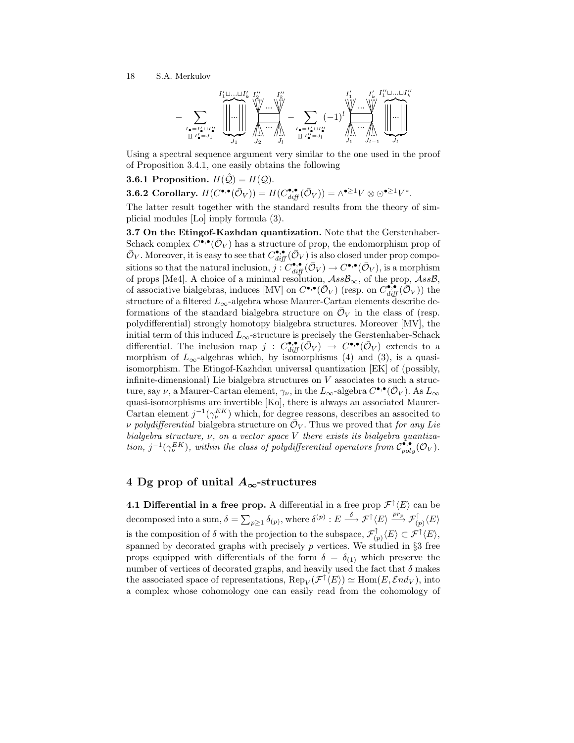

Using a spectral sequence argument very similar to the one used in the proof of Proposition 3.4.1, one easily obtains the following

**3.6.1 Proposition.**  $H(\hat{Q}) = H(Q)$ .

3.6.2 Corollary.  $H(C^{\bullet,\bullet}(\bar{\mathcal{O}}_V))=H(C^{\bullet,\bullet}_{diff}(\bar{\mathcal{O}}_V))=\wedge^{\bullet\geq 1}V\otimes\odot^{\bullet\geq 1}V^*.$ 

The latter result together with the standard results from the theory of simplicial modules [Lo] imply formula (3).

3.7 On the Etingof-Kazhdan quantization. Note that the Gerstenhaber-Schack complex  $\widetilde{C}^{\bullet,\bullet}(\bar{\mathcal{O}}_V)$  has a structure of prop, the endomorphism prop of  $\bar{\mathcal{O}}_V$ . Moreover, it is easy to see that  $C_{diff}^{\bullet,\bullet}(\bar{\mathcal{O}}_V)$  is also closed under prop compositions so that the natural inclusion,  $j: C_{diff}^{\bullet,\bullet}(\bar{\mathcal{O}}_V) \to C^{\bullet,\bullet}(\bar{\mathcal{O}}_V)$ , is a morphism of props [Me4]. A choice of a minimal resolution,  $\mathcal{A}ss\mathcal{B}_{\infty}$ , of the prop,  $\mathcal{A}ss\mathcal{B}$ , of associative bialgebras, induces [MV] on  $C^{\bullet,\bullet}(\overline{\mathcal{O}}_V)$  (resp. on  $C^{\bullet,\bullet}_{diff}(\overline{\mathcal{O}}_V)$ ) the structure of a filtered  $L_{\infty}$ -algebra whose Maurer-Cartan elements describe deformations of the standard bialgebra structure on  $\bar{\mathcal{O}}_V$  in the class of (resp. polydifferential) strongly homotopy bialgebra structures. Moreover [MV], the initial term of this induced  $L_{\infty}$ -structure is precisely the Gerstenhaber-Schack differential. The inclusion map  $j : C^{\bullet,\bullet}_{diff}(\bar{\mathcal{O}}_V) \to C^{\bullet,\bullet}(\bar{\mathcal{O}}_V)$  extends to a morphism of  $L_{\infty}$ -algebras which, by isomorphisms (4) and (3), is a quasiisomorphism. The Etingof-Kazhdan universal quantization [EK] of (possibly, infinite-dimensional) Lie bialgebra structures on  $V$  associates to such a structure, say  $\nu$ , a Maurer-Cartan element,  $\gamma_{\nu}$ , in the  $L_{\infty}$ -algebra  $C^{\bullet,\bullet}(\bar{\mathcal{O}}_V)$ . As  $L_{\infty}$ quasi-isomorphisms are invertible [Ko], there is always an associated Maurer-Cartan element  $j^{-1}(\gamma_\nu^{EK})$  which, for degree reasons, describes an associted to v polydifferential bialgebra structure on  $\overline{\mathcal{O}}_V$ . Thus we proved that for any Lie bialgebra structure,  $\nu$ , on a vector space  $V$  there exists its bialgebra quantization,  $j^{-1}(\gamma_\nu^{EK})$ , within the class of polydifferential operators from  $\mathcal{C}_{poly}^{\bullet,\bullet}(\mathcal{O}_V)$ .

# 4 Dg prop of unital  $A_{\infty}$ -structures

**4.1 Differential in a free prop.** A differential in a free prop  $\mathcal{F}^{\uparrow}\langle E \rangle$  can be decomposed into a sum,  $\delta = \sum_{p\geq 1} \delta_{(p)}$ , where  $\delta^{(p)}: E \stackrel{\delta}{\longrightarrow} \mathcal{F}^{\uparrow} \langle E \rangle \stackrel{pr_p}{\longrightarrow} \mathcal{F}^{\uparrow}_{(p)} \langle E \rangle$ is the composition of  $\delta$  with the projection to the subspace,  $\mathcal{F}_{\alpha}^{\uparrow}$  $\langle \hat{\Gamma} \rangle \langle E \rangle \subset \mathcal{F}^{\uparrow} \langle E \rangle,$ spanned by decorated graphs with precisely  $p$  vertices. We studied in  $\S 3$  free props equipped with differentials of the form  $\delta = \delta_{(1)}$  which preserve the number of vertices of decorated graphs, and heavily used the fact that  $\delta$  makes the associated space of representations,  $\text{Rep}_V(\mathcal{F}^{\uparrow}\langle E\rangle) \simeq \text{Hom}(E, \mathcal{E}nd_V)$ , into a complex whose cohomology one can easily read from the cohomology of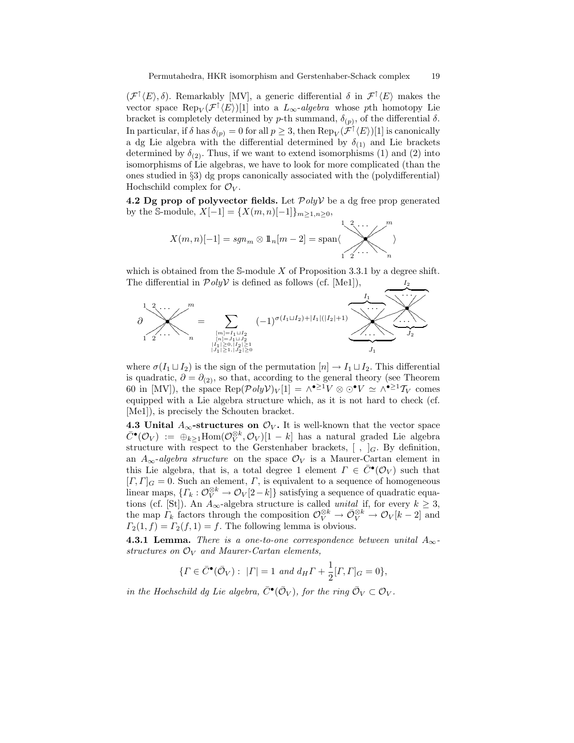$(\mathcal{F}^{\uparrow}\langle E\rangle,\delta)$ . Remarkably [MV], a generic differential  $\delta$  in  $\mathcal{F}^{\uparrow}\langle E\rangle$  makes the vector space  $\text{Rep}_V(\mathcal{F}^{\uparrow}\langle E\rangle)[1]$  into a  $L_{\infty}$ -algebra whose pth homotopy Lie bracket is completely determined by p-th summand,  $\delta_{(p)}$ , of the differential  $\delta$ . In particular, if  $\delta$  has  $\delta_{(p)} = 0$  for all  $p \geq 3$ , then  $\text{Rep}_V(\mathcal{F}^{\uparrow} \langle E \rangle)[1]$  is canonically a dg Lie algebra with the differential determined by  $\delta_{(1)}$  and Lie brackets determined by  $\delta_{(2)}$ . Thus, if we want to extend isomorphisms (1) and (2) into isomorphisms of Lie algebras, we have to look for more complicated (than the ones studied in §3) dg props canonically associated with the (polydifferential) Hochschild complex for  $\mathcal{O}_V$ .

4.2 Dg prop of polyvector fields. Let  $PolyV$  be a dg free prop generated by the S-module,  $X[-1] = \{X(m,n)[-1]\}_{m \geq 1, n \geq 0}$ ,

X(m, n)[−1] = sgn<sup>m</sup> ⊗ 11n[m − 2] = spanh • KKKKKK < < < < . . . ---ss ss ss 1 2 m ssssss ----. . . < < < <KK KK KK 1 2 n i

which is obtained from the S-module X of Proposition 3.3.1 by a degree shift. The differential in  $\mathcal{P}oly\mathcal{V}$  is defined as follows (cf. [Me1]),  $I<sub>2</sub>$ 



where  $\sigma(I_1 \sqcup I_2)$  is the sign of the permutation  $[n] \to I_1 \sqcup I_2$ . This differential is quadratic,  $\partial = \partial_{(2)}$ , so that, according to the general theory (see Theorem 60 in [MV]), the space  $\text{Rep}(\mathcal{P}olyV)_V[1] = \wedge^{\bullet \geq 1} V \otimes \odot^{\bullet} V \simeq \wedge^{\bullet \geq 1} \mathcal{T}_V$  comes equipped with a Lie algebra structure which, as it is not hard to check (cf. [Me1]), is precisely the Schouten bracket.

4.3 Unital  $A_{\infty}$ -structures on  $\mathcal{O}_V$ . It is well-known that the vector space  $\bar{C}$ • $(\mathcal{O}_V) := \bigoplus_{k \geq 1} \text{Hom}(\mathcal{O}_V^{\otimes k}, \mathcal{O}_V)[1-k]$  has a natural graded Lie algebra structure with respect to the Gerstenhaber brackets,  $[ , ]_G$ . By definition, an  $A_{\infty}$ -algebra structure on the space  $\mathcal{O}_V$  is a Maurer-Cartan element in this Lie algebra, that is, a total degree 1 element  $\Gamma \in \overline{C}^{\bullet}(\mathcal{O}_V)$  such that  $[T, \Gamma]_G = 0$ . Such an element,  $\Gamma$ , is equivalent to a sequence of homogeneous linear maps,  $\{\Gamma_k: \mathcal{O}_V^{\otimes k} \to \mathcal{O}_V[2-k]\}$  satisfying a sequence of quadratic equations (cf. [St]). An  $A_{\infty}$ -algebra structure is called *unital* if, for every  $k \geq 3$ , the map  $\Gamma_k$  factors through the composition  $\mathcal{O}_V^{\otimes k} \to \bar{\mathcal{O}}_V^{\otimes k} \to \mathcal{O}_V[k-2]$  and  $\Gamma_2(1, f) = \Gamma_2(f, 1) = f$ . The following lemma is obvious.

**4.3.1 Lemma.** There is a one-to-one correspondence between unital  $A_{\infty}$ structures on  $\mathcal{O}_V$  and Maurer-Cartan elements,

$$
\{ \Gamma \in \bar{C}^{\bullet}(\bar{\mathcal{O}}_V) : \ |\Gamma| = 1 \text{ and } d_H \Gamma + \frac{1}{2} [\Gamma, \Gamma]_G = 0 \},
$$

in the Hochschild dg Lie algebra,  $\bar{C}^{\bullet}(\bar{\mathcal{O}}_V)$ , for the ring  $\bar{\mathcal{O}}_V \subset \mathcal{O}_V$ .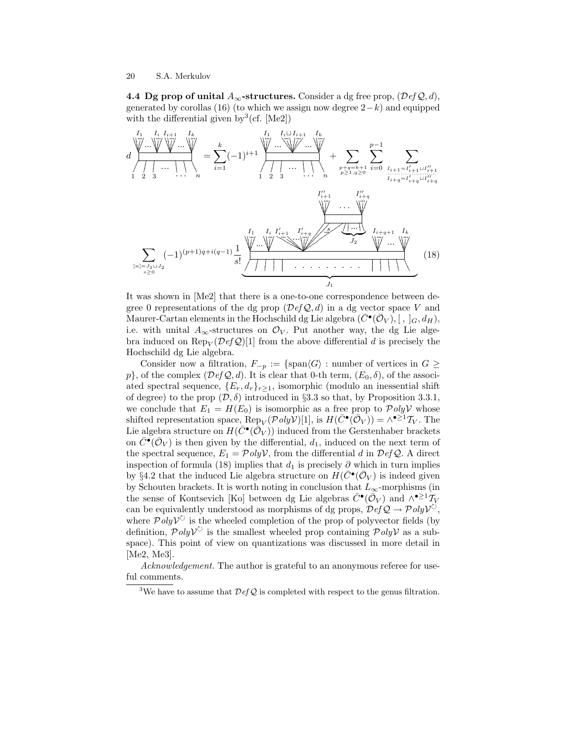4.4 Dg prop of unital  $A_{\infty}$ -structures. Consider a dg free prop,  $(\mathcal{D}efQ, d)$ , generated by corollas (16) (to which we assign now degree  $2-k$ ) and equipped with the differential given by  $3$  (cf. [Me2])

d + + + + % % %% ... ... + + + + % % %% ... + + + + % % %% ... ... + + + + % % % % ... ... - - - & & & # # # I<sup>1</sup> I<sup>i</sup> Ii+1 I<sup>k</sup> 1 2 3 . . . <sup>n</sup> = X k i=1 (−1)i+1 + + + + % % %% ... ... 6 6 6 6 - - - % % % %... ... ... + + + + % % % % ... ... - - - & & & # # # I<sup>1</sup> Iit Ii+1 I<sup>k</sup> 1 2 3 . . . <sup>n</sup> + X p+q=k+1 p≥1,q≥0 Xp−1 i=0 X Ii+1=I 0 <sup>i</sup>+1t<sup>I</sup> 00 i+1 ....................... Ii+q=I 0 i+q tI 00 i+q X [n]=J1tJ2 s≥0 (−1)(p+1)q+i(q−1) <sup>1</sup> s! + + + + % % % % ... ... + + + + % % % % ... MMMMMMM BBBBB HH... HHH... % % % % ... . . . . . . . . . - - - & & & # # # | {z } J<sup>1</sup> I<sup>1</sup> I<sup>i</sup> I 0 <sup>i</sup>+1 I 0 i+q uuuuuuuuuuu ... s + + + + % % % % ... · · · + + + + % % %% ... I 00 <sup>i</sup>+1 I 00 i+q ... \* \$ \$ | {z } J<sup>2</sup> + + + + % % % % ... ... + + + + % % % % ... Ii+q+1 I<sup>k</sup> (18)

It was shown in [Me2] that there is a one-to-one correspondence between degree 0 representations of the dg prop  $(\mathcal{D}efQ, d)$  in a dg vector space V and Maurer-Cartan elements in the Hochschild dg Lie algebra  $(\bar{C}^{\bullet}(\bar{\mathcal{O}}_V), [~,~]_G, d_H),$ i.e. with unital  $A_{\infty}$ -structures on  $\mathcal{O}_V$ . Put another way, the dg Lie algebra induced on  $\text{Rep}_V(\mathcal{D}\text{ef}\mathcal{Q})[1]$  from the above differential d is precisely the Hochschild dg Lie algebra.

Consider now a filtration,  $F_{-p} := \{ \text{span}\langle G \rangle : \text{number of vertices in } G \geq$ p}, of the complex  $(\mathcal{D}efQ, d)$ . It is clear that 0-th term,  $(E_0, \delta)$ , of the associated spectral sequence,  $\{E_r, d_r\}_{r>1}$ , isomorphic (modulo an inessential shift of degree) to the prop  $(\mathcal{D}, \delta)$  introduced in §3.3 so that, by Proposition 3.3.1, we conclude that  $E_1 = H(E_0)$  is isomorphic as a free prop to  $\mathcal{P}oly\mathcal{V}$  whose shifted representation space,  $\text{Rep}_V(\mathcal{P}oly\mathcal{V})[1]$ , is  $H(\bar{C}^{\bullet}(\bar{\mathcal{O}}_V)) = \wedge^{\bullet \geq 1} \mathcal{T}_V$ . The Lie algebra structure on  $H(\bar{C}^{\bullet}(\bar{\mathcal{O}}_V))$  induced from the Gerstenhaber brackets on  $\overline{C}^{\bullet}(\overline{\mathcal{O}}_V)$  is then given by the differential,  $d_1$ , induced on the next term of the spectral sequence,  $E_1 = \mathcal{P}oly\mathcal{V}$ , from the differential d in  $\mathcal{D}efQ$ . A direct inspection of formula (18) implies that  $d_1$  is precisely  $\partial$  which in turn implies by §4.2 that the induced Lie algebra structure on  $H(\bar{C}^{\bullet}(\bar{\mathcal{O}}_V))$  is indeed given by Schouten brackets. It is worth noting in conclusion that  $L_{\infty}$ -morphisms (in the sense of Kontsevich [Ko] between dg Lie algebras  $\bar{C}^{\bullet}(\bar{\mathcal{O}}_V)$  and  $\wedge^{\bullet\geq 1} \tilde{T}_V$ can be equivalently understood as morphisms of dg props,  $\overline{\mathcal{D}efQ} \to \mathcal{P}oly\mathcal{V}^{\circ}$ , where  $\mathcal{P}olyV^{\circlearrowright}$  is the wheeled completion of the prop of polyvector fields (by definition,  $\mathcal{P}olyV^{\circ}$  is the smallest wheeled prop containing  $\mathcal{P}olyV$  as a subspace). This point of view on quantizations was discussed in more detail in [Me2, Me3].

Acknowledgement. The author is grateful to an anonymous referee for useful comments.

<sup>3</sup>We have to assume that  $\mathcal{D}efQ$  is completed with respect to the genus filtration.